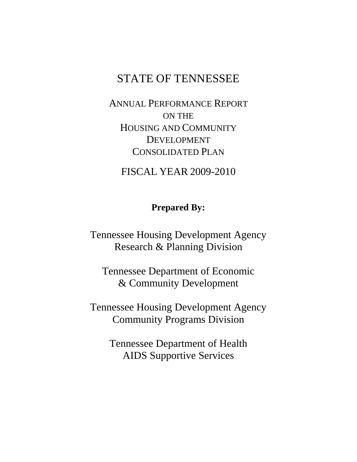# STATE OF TENNESSEE

ANNUAL PERFORMANCE REPORT ON THE HOUSING AND COMMUNITY DEVELOPMENT CONSOLIDATED PLAN

FISCAL YEAR 2009-2010

# **Prepared By:**

Tennessee Housing Development Agency Research & Planning Division

Tennessee Department of Economic & Community Development

Tennessee Housing Development Agency Community Programs Division

> Tennessee Department of Health AIDS Supportive Services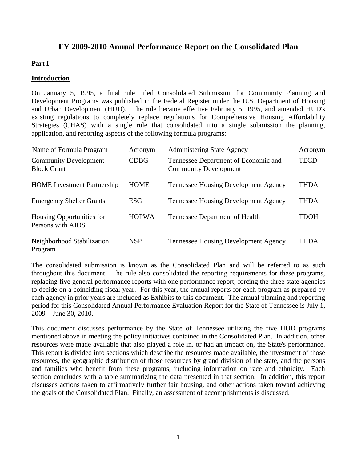## **FY 2009-2010 Annual Performance Report on the Consolidated Plan**

### **Part I**

#### **Introduction**

On January 5, 1995, a final rule titled Consolidated Submission for Community Planning and Development Programs was published in the Federal Register under the U.S. Department of Housing and Urban Development (HUD). The rule became effective February 5, 1995, and amended HUD's existing regulations to completely replace regulations for Comprehensive Housing Affordability Strategies (CHAS) with a single rule that consolidated into a single submission the planning, application, and reporting aspects of the following formula programs:

| Name of Formula Program                            | Acronym      | <b>Administering State Agency</b>                                    | Acronym     |
|----------------------------------------------------|--------------|----------------------------------------------------------------------|-------------|
| <b>Community Development</b><br><b>Block Grant</b> | <b>CDBG</b>  | Tennessee Department of Economic and<br><b>Community Development</b> | <b>TECD</b> |
| <b>HOME</b> Investment Partnership                 | <b>HOME</b>  | <b>Tennessee Housing Development Agency</b>                          | <b>THDA</b> |
| <b>Emergency Shelter Grants</b>                    | ESG          | <b>Tennessee Housing Development Agency</b>                          | <b>THDA</b> |
| Housing Opportunities for<br>Persons with AIDS     | <b>HOPWA</b> | Tennessee Department of Health                                       | <b>TDOH</b> |
| Neighborhood Stabilization<br>Program              | <b>NSP</b>   | <b>Tennessee Housing Development Agency</b>                          | <b>THDA</b> |

The consolidated submission is known as the Consolidated Plan and will be referred to as such throughout this document. The rule also consolidated the reporting requirements for these programs, replacing five general performance reports with one performance report, forcing the three state agencies to decide on a coinciding fiscal year. For this year, the annual reports for each program as prepared by each agency in prior years are included as Exhibits to this document. The annual planning and reporting period for this Consolidated Annual Performance Evaluation Report for the State of Tennessee is July 1, 2009 – June 30, 2010.

This document discusses performance by the State of Tennessee utilizing the five HUD programs mentioned above in meeting the policy initiatives contained in the Consolidated Plan. In addition, other resources were made available that also played a role in, or had an impact on, the State's performance. This report is divided into sections which describe the resources made available, the investment of those resources, the geographic distribution of those resources by grand division of the state, and the persons and families who benefit from these programs, including information on race and ethnicity. Each section concludes with a table summarizing the data presented in that section. In addition, this report discusses actions taken to affirmatively further fair housing, and other actions taken toward achieving the goals of the Consolidated Plan. Finally, an assessment of accomplishments is discussed.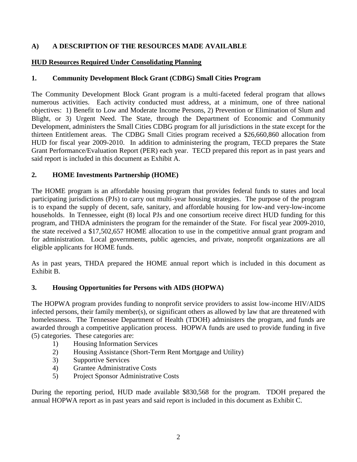### **A) A DESCRIPTION OF THE RESOURCES MADE AVAILABLE**

### **HUD Resources Required Under Consolidating Planning**

### **1. Community Development Block Grant (CDBG) Small Cities Program**

The Community Development Block Grant program is a multi-faceted federal program that allows numerous activities. Each activity conducted must address, at a minimum, one of three national objectives: 1) Benefit to Low and Moderate Income Persons, 2) Prevention or Elimination of Slum and Blight, or 3) Urgent Need. The State, through the Department of Economic and Community Development, administers the Small Cities CDBG program for all jurisdictions in the state except for the thirteen Entitlement areas. The CDBG Small Cities program received a \$26,660,860 allocation from HUD for fiscal year 2009-2010. In addition to administering the program, TECD prepares the State Grant Performance/Evaluation Report (PER) each year. TECD prepared this report as in past years and said report is included in this document as Exhibit A.

### **2. HOME Investments Partnership (HOME)**

The HOME program is an affordable housing program that provides federal funds to states and local participating jurisdictions (PJs) to carry out multi-year housing strategies. The purpose of the program is to expand the supply of decent, safe, sanitary, and affordable housing for low-and very-low-income households. In Tennessee, eight (8) local PJs and one consortium receive direct HUD funding for this program, and THDA administers the program for the remainder of the State. For fiscal year 2009-2010, the state received a \$17,502,657 HOME allocation to use in the competitive annual grant program and for administration. Local governments, public agencies, and private, nonprofit organizations are all eligible applicants for HOME funds.

As in past years, THDA prepared the HOME annual report which is included in this document as Exhibit B.

### **3. Housing Opportunities for Persons with AIDS (HOPWA)**

The HOPWA program provides funding to nonprofit service providers to assist low-income HIV/AIDS infected persons, their family member(s), or significant others as allowed by law that are threatened with homelessness. The Tennessee Department of Health (TDOH) administers the program, and funds are awarded through a competitive application process. HOPWA funds are used to provide funding in five (5) categories. These categories are:

- 1) Housing Information Services
- 2) Housing Assistance (Short-Term Rent Mortgage and Utility)
- 3) Supportive Services
- 4) Grantee Administrative Costs
- 5) Project Sponsor Administrative Costs

During the reporting period, HUD made available \$830,568 for the program. TDOH prepared the annual HOPWA report as in past years and said report is included in this document as Exhibit C.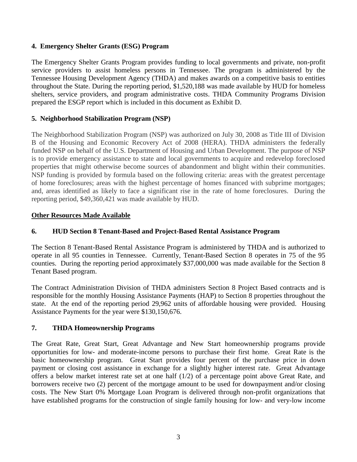### **4. Emergency Shelter Grants (ESG) Program**

The Emergency Shelter Grants Program provides funding to local governments and private, non-profit service providers to assist homeless persons in Tennessee. The program is administered by the Tennessee Housing Development Agency (THDA) and makes awards on a competitive basis to entities throughout the State. During the reporting period, \$1,520,188 was made available by HUD for homeless shelters, service providers, and program administrative costs. THDA Community Programs Division prepared the ESGP report which is included in this document as Exhibit D.

#### **5. Neighborhood Stabilization Program (NSP)**

The Neighborhood Stabilization Program (NSP) was authorized on July 30, 2008 as Title III of Division B of the Housing and Economic Recovery Act of 2008 (HERA). THDA administers the federally funded NSP on behalf of the U.S. Department of Housing and Urban Development. The purpose of NSP is to provide emergency assistance to state and local governments to acquire and redevelop foreclosed properties that might otherwise become sources of abandonment and blight within their communities. NSP funding is provided by formula based on the following criteria: areas with the greatest percentage of home foreclosures; areas with the highest percentage of homes financed with subprime mortgages; and, areas identified as likely to face a significant rise in the rate of home foreclosures. During the reporting period, \$49,360,421 was made available by HUD.

#### **Other Resources Made Available**

### **6. HUD Section 8 Tenant-Based and Project-Based Rental Assistance Program**

The Section 8 Tenant-Based Rental Assistance Program is administered by THDA and is authorized to operate in all 95 counties in Tennessee. Currently, Tenant-Based Section 8 operates in 75 of the 95 counties. During the reporting period approximately \$37,000,000 was made available for the Section 8 Tenant Based program.

The Contract Administration Division of THDA administers Section 8 Project Based contracts and is responsible for the monthly Housing Assistance Payments (HAP) to Section 8 properties throughout the state. At the end of the reporting period 29,962 units of affordable housing were provided. Housing Assistance Payments for the year were \$130,150,676.

#### **7. THDA Homeownership Programs**

The Great Rate, Great Start, Great Advantage and New Start homeownership programs provide opportunities for low- and moderate-income persons to purchase their first home. Great Rate is the basic homeownership program. Great Start provides four percent of the purchase price in down payment or closing cost assistance in exchange for a slightly higher interest rate. Great Advantage offers a below market interest rate set at one half (1/2) of a percentage point above Great Rate, and borrowers receive two (2) percent of the mortgage amount to be used for downpayment and/or closing costs. The New Start 0% Mortgage Loan Program is delivered through non-profit organizations that have established programs for the construction of single family housing for low- and very-low income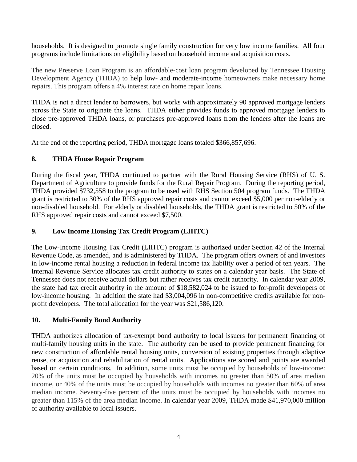households. It is designed to promote single family construction for very low income families. All four programs include limitations on eligibility based on household income and acquisition costs.

The new Preserve Loan Program is an affordable-cost loan program developed by Tennessee Housing Development Agency (THDA) to help low- [and moderate-income](http://www.thda.org/singlefamily/acqinc.pdf) homeowners make necessary home repairs. This program offers a 4% interest rate on home repair loans.

THDA is not a direct lender to borrowers, but works with approximately 90 approved mortgage lenders across the State to originate the loans. THDA either provides funds to approved mortgage lenders to close pre-approved THDA loans, or purchases pre-approved loans from the lenders after the loans are closed.

At the end of the reporting period, THDA mortgage loans totaled \$366,857,696.

# **8. THDA House Repair Program**

During the fiscal year, THDA continued to partner with the Rural Housing Service (RHS) of U. S. Department of Agriculture to provide funds for the Rural Repair Program. During the reporting period, THDA provided \$732,558 to the program to be used with RHS Section 504 program funds. The THDA grant is restricted to 30% of the RHS approved repair costs and cannot exceed \$5,000 per non-elderly or non-disabled household. For elderly or disabled households, the THDA grant is restricted to 50% of the RHS approved repair costs and cannot exceed \$7,500.

### **9. Low Income Housing Tax Credit Program (LIHTC)**

The Low-Income Housing Tax Credit (LIHTC) program is authorized under Section 42 of the Internal Revenue Code, as amended, and is administered by THDA. The program offers owners of and investors in low-income rental housing a reduction in federal income tax liability over a period of ten years. The Internal Revenue Service allocates tax credit authority to states on a calendar year basis. The State of Tennessee does not receive actual dollars but rather receives tax credit authority. In calendar year 2009, the state had tax credit authority in the amount of \$18,582,024 to be issued to for-profit developers of low-income housing. In addition the state had \$3,004,096 in non-competitive credits available for nonprofit developers. The total allocation for the year was \$21,586,120.

# **10. Multi-Family Bond Authority**

THDA authorizes allocation of tax-exempt bond authority to local issuers for permanent financing of multi-family housing units in the state. The authority can be used to provide permanent financing for new construction of affordable rental housing units, conversion of existing properties through adaptive reuse, or acquisition and rehabilitation of rental units. Applications are scored and points are awarded based on certain conditions. In addition, some units must be occupied by households of low-income: 20% of the units must be occupied by households with incomes no greater than 50% of area median income, or 40% of the units must be occupied by households with incomes no greater than 60% of area median income. Seventy-five percent of the units must be occupied by households with incomes no greater than 115% of the area median income. In calendar year 2009, THDA made \$41,970,000 million of authority available to local issuers.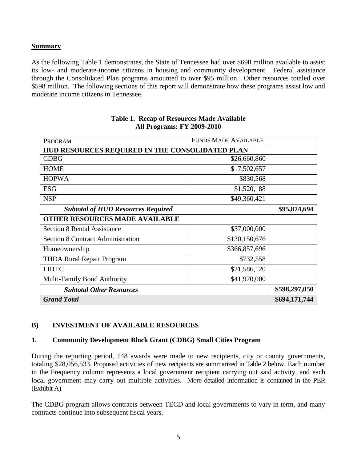### **Summary**

As the following Table 1 demonstrates, the State of Tennessee had over \$690 million available to assist its low- and moderate-income citizens in housing and community development. Federal assistance through the Consolidated Plan programs amounted to over \$95 million. Other resources totaled over \$598 million. The following sections of this report will demonstrate how these programs assist low and moderate income citizens in Tennessee.

| PROGRAM                                         | <b>FUNDS MADE AVAILABLE</b> |               |  |  |
|-------------------------------------------------|-----------------------------|---------------|--|--|
| HUD RESOURCES REQUIRED IN THE CONSOLIDATED PLAN |                             |               |  |  |
| <b>CDBG</b>                                     | \$26,660,860                |               |  |  |
| <b>HOME</b>                                     | \$17,502,657                |               |  |  |
| <b>HOPWA</b>                                    | \$830,568                   |               |  |  |
| <b>ESG</b>                                      | \$1,520,188                 |               |  |  |
| <b>NSP</b>                                      | \$49,360,421                |               |  |  |
| <b>Subtotal of HUD Resources Required</b>       | \$95,874,694                |               |  |  |
| <b>OTHER RESOURCES MADE AVAILABLE</b>           |                             |               |  |  |
| <b>Section 8 Rental Assistance</b>              | \$37,000,000                |               |  |  |
| <b>Section 8 Contract Administration</b>        | \$130,150,676               |               |  |  |
| Homeownership                                   | \$366,857,696               |               |  |  |
| <b>THDA Rural Repair Program</b>                | \$732,558                   |               |  |  |
| <b>LIHTC</b>                                    | \$21,586,120                |               |  |  |
| Multi-Family Bond Authority                     | \$41,970,000                |               |  |  |
| <b>Subtotal Other Resources</b>                 | \$598,297,050               |               |  |  |
| <b>Grand Total</b>                              |                             | \$694,171,744 |  |  |

#### **Table 1. Recap of Resources Made Available All Programs: FY 2009-2010**

### **B) INVESTMENT OF AVAILABLE RESOURCES**

### **1. Community Development Block Grant (CDBG) Small Cities Program**

During the reporting period, 148 awards were made to new recipients, city or county governments, totaling \$28,056,533. Proposed activities of new recipients are summarized in Table 2 below. Each number in the Frequency column represents a local government recipient carrying out said activity, and each local government may carry out multiple activities. More detailed information is contained in the PER (Exhibit A).

The CDBG program allows contracts between TECD and local governments to vary in term, and many contracts continue into subsequent fiscal years.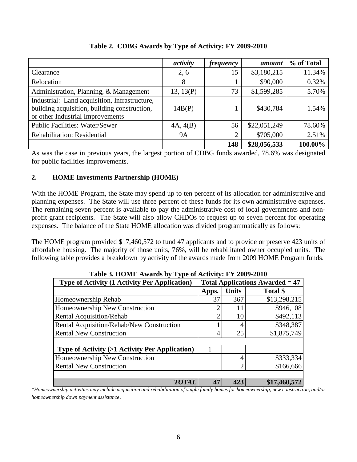|                                                                                                                                   | activity  | <i>frequency</i> | amount       | % of Total |
|-----------------------------------------------------------------------------------------------------------------------------------|-----------|------------------|--------------|------------|
| Clearance                                                                                                                         | 2, 6      | 15               | \$3,180,215  | 11.34%     |
| Relocation                                                                                                                        | 8         |                  | \$90,000     | 0.32%      |
| Administration, Planning, & Management                                                                                            | 13, 13(P) | 73               | \$1,599,285  | 5.70%      |
| Industrial: Land acquisition, Infrastructure,<br>building acquisition, building construction,<br>or other Industrial Improvements | 14B(P)    |                  | \$430,784    | 1.54%      |
| <b>Public Facilities: Water/Sewer</b>                                                                                             | 4A, 4(B)  | 56               | \$22,051,249 | 78.60%     |
| Rehabilitation: Residential                                                                                                       | <b>9A</b> | 2                | \$705,000    | 2.51%      |
|                                                                                                                                   |           | 148              | \$28,056,533 | 100.00%    |

**Table 2. CDBG Awards by Type of Activity: FY 2009-2010**

As was the case in previous years, the largest portion of CDBG funds awarded, 78.6% was designated for public facilities improvements.

### **2. HOME Investments Partnership (HOME)**

With the HOME Program, the State may spend up to ten percent of its allocation for administrative and planning expenses. The State will use three percent of these funds for its own administrative expenses. The remaining seven percent is available to pay the administrative cost of local governments and nonprofit grant recipients. The State will also allow CHDOs to request up to seven percent for operating expenses. The balance of the State HOME allocation was divided programmatically as follows:

The HOME program provided \$17,460,572 to fund 47 applicants and to provide or preserve 423 units of affordable housing. The majority of those units, 76%, will be rehabilitated owner occupied units. The following table provides a breakdown by activity of the awards made from 2009 HOME Program funds.

| Table 5. HOME AWARDS by Type of ACHVILY: F Y 2009-2010   |                                        |                |              |  |  |  |
|----------------------------------------------------------|----------------------------------------|----------------|--------------|--|--|--|
| <b>Type of Activity (1 Activity Per Application)</b>     | <b>Total Applications Awarded = 47</b> |                |              |  |  |  |
|                                                          | Apps.                                  | <b>Units</b>   | Total \$     |  |  |  |
| Homeownership Rehab                                      | 37                                     | 367            | \$13,298,215 |  |  |  |
| Homeownership New Construction                           |                                        | 11             | \$946,108    |  |  |  |
| <b>Rental Acquisition/Rehab</b>                          |                                        | 10             | \$492,113    |  |  |  |
| Rental Acquisition/Rehab/New Construction                |                                        | 4              | \$348,387    |  |  |  |
| <b>Rental New Construction</b>                           | 4                                      | 25             | \$1,875,749  |  |  |  |
|                                                          |                                        |                |              |  |  |  |
| <b>Type of Activity (&gt;1 Activity Per Application)</b> |                                        |                |              |  |  |  |
| Homeownership New Construction                           |                                        | 4              | \$333,334    |  |  |  |
| <b>Rental New Construction</b>                           |                                        | $\overline{2}$ | \$166,666    |  |  |  |
|                                                          |                                        |                |              |  |  |  |
| <b>TOTAL</b>                                             | 47                                     | 423            | \$17,460,572 |  |  |  |

**Table 3. HOME Awards by Type of Activity: FY 2009-2010**

*\*Homeownership activities may include acquisition and rehabilitation of single family homes for homeownership, new construction, and/or homeownership down payment assistance.*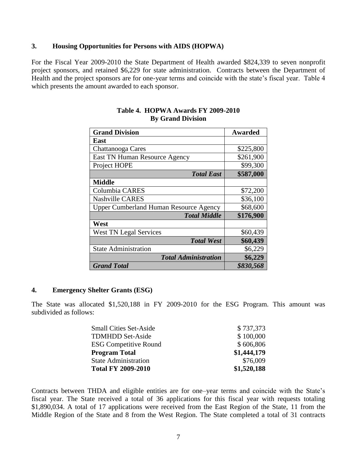#### **3. Housing Opportunities for Persons with AIDS (HOPWA)**

For the Fiscal Year 2009-2010 the State Department of Health awarded \$824,339 to seven nonprofit project sponsors, and retained \$6,229 for state administration. Contracts between the Department of Health and the project sponsors are for one-year terms and coincide with the state's fiscal year. Table 4 which presents the amount awarded to each sponsor.

| <b>Grand Division</b>                         | <b>Awarded</b> |
|-----------------------------------------------|----------------|
| East                                          |                |
| Chattanooga Cares                             | \$225,800      |
| East TN Human Resource Agency                 | \$261,900      |
| Project HOPE                                  | \$99,300       |
| <b>Total East</b>                             | \$587,000      |
| <b>Middle</b>                                 |                |
| Columbia CARES                                | \$72,200       |
| <b>Nashville CARES</b>                        | \$36,100       |
| <b>Upper Cumberland Human Resource Agency</b> | \$68,600       |
| <b>Total Middle</b>                           | \$176,900      |
| West                                          |                |
| <b>West TN Legal Services</b>                 | \$60,439       |
| <b>Total West</b>                             | \$60,439       |
| <b>State Administration</b>                   | \$6,229        |
| <b>Total Administration</b>                   | \$6,229        |
| <b>Grand Total</b>                            | \$830,568      |

#### **Table 4. HOPWA Awards FY 2009-2010 By Grand Division**

#### **4. Emergency Shelter Grants (ESG)**

The State was allocated \$1,520,188 in FY 2009-2010 for the ESG Program. This amount was subdivided as follows:

| <b>Small Cities Set-Aside</b> | \$737,373   |
|-------------------------------|-------------|
| <b>TDMHDD Set-Aside</b>       | \$100,000   |
| <b>ESG Competitive Round</b>  | \$606,806   |
| <b>Program Total</b>          | \$1,444,179 |
| <b>State Administration</b>   | \$76,009    |
| <b>Total FY 2009-2010</b>     | \$1,520,188 |

Contracts between THDA and eligible entities are for one–year terms and coincide with the State's fiscal year. The State received a total of 36 applications for this fiscal year with requests totaling \$1,890,034. A total of 17 applications were received from the East Region of the State, 11 from the Middle Region of the State and 8 from the West Region. The State completed a total of 31 contracts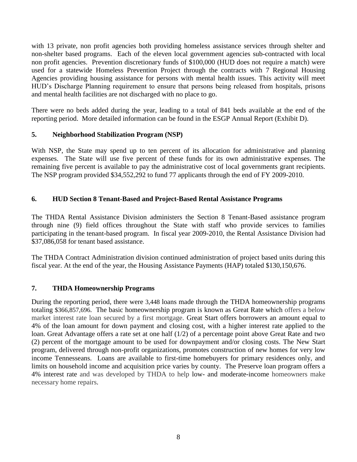with 13 private, non profit agencies both providing homeless assistance services through shelter and non-shelter based programs. Each of the eleven local government agencies sub-contracted with local non profit agencies. Prevention discretionary funds of \$100,000 (HUD does not require a match) were used for a statewide Homeless Prevention Project through the contracts with 7 Regional Housing Agencies providing housing assistance for persons with mental health issues. This activity will meet HUD's Discharge Planning requirement to ensure that persons being released from hospitals, prisons and mental health facilities are not discharged with no place to go.

There were no beds added during the year, leading to a total of 841 beds available at the end of the reporting period. More detailed information can be found in the ESGP Annual Report (Exhibit D).

### **5. Neighborhood Stabilization Program (NSP)**

With NSP, the State may spend up to ten percent of its allocation for administrative and planning expenses. The State will use five percent of these funds for its own administrative expenses. The remaining five percent is available to pay the administrative cost of local governments grant recipients. The NSP program provided \$34,552,292 to fund 77 applicants through the end of FY 2009-2010.

### **6. HUD Section 8 Tenant-Based and Project-Based Rental Assistance Programs**

The THDA Rental Assistance Division administers the Section 8 Tenant-Based assistance program through nine (9) field offices throughout the State with staff who provide services to families participating in the tenant-based program. In fiscal year 2009-2010, the Rental Assistance Division had \$37,086,058 for tenant based assistance.

The THDA Contract Administration division continued administration of project based units during this fiscal year. At the end of the year, the Housing Assistance Payments (HAP) totaled \$130,150,676.

### **7. THDA Homeownership Programs**

During the reporting period, there were 3,448 loans made through the THDA homeownership programs totaling \$366,857,696. The basic homeownership program is known as Great Rate which offers a below market interest rate loan secured by a first mortgage. Great Start offers borrowers an amount equal to 4% of the loan amount for down payment and closing cost, with a higher interest rate applied to the loan. Great Advantage offers a rate set at one half (1/2) of a percentage point above Great Rate and two (2) percent of the mortgage amount to be used for downpayment and/or closing costs. The New Start program, delivered through non-profit organizations, promotes construction of new homes for very low income Tennesseans. Loans are available to first-time homebuyers for primary residences only, and limits on household income and acquisition price varies by county. The Preserve loan program offers a 4% interest rate and was developed by THDA to help low- [and moderate-income](http://www.thda.org/singlefamily/acqinc.pdf) homeowners make necessary home repairs.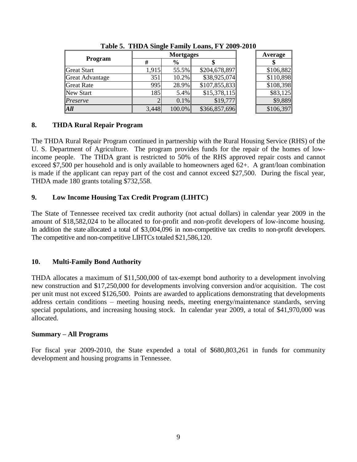|                        | <b>Mortgages</b> |               |               | Average   |
|------------------------|------------------|---------------|---------------|-----------|
| <b>Program</b>         | #                | $\frac{6}{9}$ |               |           |
| <b>Great Start</b>     | 1,915            | 55.5%         | \$204,678,897 | \$106,882 |
| <b>Great Advantage</b> | 351              | 10.2%         | \$38,925,074  | \$110,898 |
| <b>Great Rate</b>      | 995              | 28.9%         | \$107,855,833 | \$108,398 |
| New Start              | 185              | 5.4%          | \$15,378,115  | \$83,125  |
| Preserve               |                  | 0.1%          | \$19,777      | \$9,889   |
| All                    | 3,448            | 100.0%        | \$366,857,696 | \$106,397 |

**Table 5. THDA Single Family Loans, FY 2009-2010**

### **8. THDA Rural Repair Program**

The THDA Rural Repair Program continued in partnership with the Rural Housing Service (RHS) of the U. S. Department of Agriculture. The program provides funds for the repair of the homes of lowincome people. The THDA grant is restricted to 50% of the RHS approved repair costs and cannot exceed \$7,500 per household and is only available to homeowners aged 62+. A grant/loan combination is made if the applicant can repay part of the cost and cannot exceed \$27,500. During the fiscal year, THDA made 180 grants totaling \$732,558.

### **9. Low Income Housing Tax Credit Program (LIHTC)**

The State of Tennessee received tax credit authority (not actual dollars) in calendar year 2009 in the amount of \$18,582,024 to be allocated to for-profit and non-profit developers of low-income housing. In addition the state allocated a total of \$3,004,096 in non-competitive tax credits to non-profit developers. The competitive and non-competitive LIHTCs totaled \$21,586,120.

### **10. Multi-Family Bond Authority**

THDA allocates a maximum of \$11,500,000 of tax-exempt bond authority to a development involving new construction and \$17,250,000 for developments involving conversion and/or acquisition. The cost per unit must not exceed \$126,500. Points are awarded to applications demonstrating that developments address certain conditions – meeting housing needs, meeting energy/maintenance standards, serving special populations, and increasing housing stock. In calendar year 2009, a total of \$41,970,000 was allocated.

### **Summary – All Programs**

For fiscal year 2009-2010, the State expended a total of \$680,803,261 in funds for community development and housing programs in Tennessee.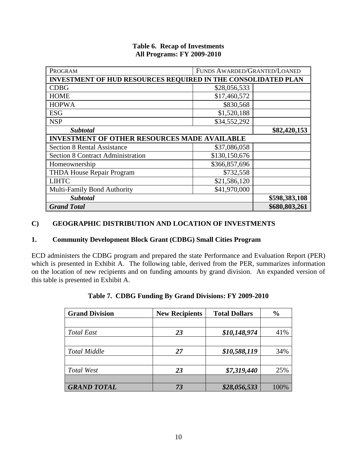| PROGRAM                                                              | FUNDS AWARDED/GRANTED/LOANED |               |
|----------------------------------------------------------------------|------------------------------|---------------|
| <b>INVESTMENT OF HUD RESOURCES REQUIRED IN THE CONSOLIDATED PLAN</b> |                              |               |
| <b>CDBG</b>                                                          | \$28,056,533                 |               |
| <b>HOME</b>                                                          | \$17,460,572                 |               |
| <b>HOPWA</b>                                                         | \$830,568                    |               |
| <b>ESG</b>                                                           | \$1,520,188                  |               |
| <b>NSP</b>                                                           | \$34,552,292                 |               |
| <b>Subtotal</b>                                                      | \$82,420,153                 |               |
| <b>INVESTMENT OF OTHER RESOURCES MADE AVAILABLE</b>                  |                              |               |
| <b>Section 8 Rental Assistance</b>                                   | \$37,086,058                 |               |
| <b>Section 8 Contract Administration</b>                             | \$130,150,676                |               |
| Homeownership                                                        | \$366,857,696                |               |
| <b>THDA House Repair Program</b>                                     | \$732,558                    |               |
| <b>LIHTC</b>                                                         | \$21,586,120                 |               |
| Multi-Family Bond Authority                                          | \$41,970,000                 |               |
| <b>Subtotal</b>                                                      | \$598,383,108                |               |
| <b>Grand Total</b>                                                   |                              | \$680,803,261 |

#### **Table 6. Recap of Investments All Programs: FY 2009-2010**

### **C) GEOGRAPHIC DISTRIBUTION AND LOCATION OF INVESTMENTS**

### **1. Community Development Block Grant (CDBG) Small Cities Program**

ECD administers the CDBG program and prepared the state Performance and Evaluation Report (PER) which is presented in Exhibit A. The following table, derived from the PER, summarizes information on the location of new recipients and on funding amounts by grand division. An expanded version of this table is presented in Exhibit A.

| <b>Grand Division</b> | <b>New Recipients</b> | <b>Total Dollars</b> | $\frac{0}{0}$ |
|-----------------------|-----------------------|----------------------|---------------|
|                       |                       |                      |               |
| <b>Total East</b>     | 23                    | \$10,148,974         | 41%           |
|                       |                       |                      |               |
| <b>Total Middle</b>   | 27                    | \$10,588,119         | 34%           |
|                       |                       |                      |               |
| Total West            | 23                    | \$7,319,440          | 25%           |
|                       |                       |                      |               |
| <b>GRAND TOTAL</b>    | 73                    | \$28,056,533         | 100%          |

| Table 7. CDBG Funding By Grand Divisions: FY 2009-2010 |  |  |
|--------------------------------------------------------|--|--|
|                                                        |  |  |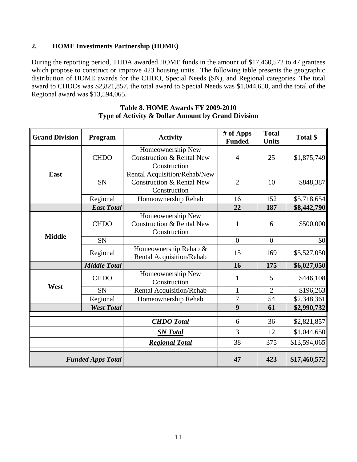### **2. HOME Investments Partnership (HOME)**

During the reporting period, THDA awarded HOME funds in the amount of \$17,460,572 to 47 grantees which propose to construct or improve 423 housing units. The following table presents the geographic distribution of HOME awards for the CHDO, Special Needs (SN), and Regional categories. The total award to CHDOs was \$2,821,857, the total award to Special Needs was \$1,044,650, and the total of the Regional award was \$13,594,065.

| <b>Grand Division</b> | Program                  | <b>Activity</b>                                                                      | # of Apps<br><b>Funded</b> | <b>Total</b><br><b>Units</b> | Total \$     |
|-----------------------|--------------------------|--------------------------------------------------------------------------------------|----------------------------|------------------------------|--------------|
|                       | <b>CHDO</b>              | Homeownership New<br><b>Construction &amp; Rental New</b><br>Construction            | $\overline{4}$             | 25                           | \$1,875,749  |
| East                  | <b>SN</b>                | Rental Acquisition/Rehab/New<br><b>Construction &amp; Rental New</b><br>Construction | $\overline{2}$             | 10                           | \$848,387    |
|                       | Regional                 | Homeownership Rehab                                                                  | 16                         | 152                          | \$5,718,654  |
|                       | <b>East Total</b>        |                                                                                      | 22                         | 187                          | \$8,442,790  |
| <b>Middle</b>         | <b>CHDO</b>              | Homeownership New<br><b>Construction &amp; Rental New</b><br>Construction            | $\mathbf{1}$               | 6                            | \$500,000    |
|                       | SN                       |                                                                                      | $\overline{0}$             | $\overline{0}$               | \$0          |
|                       | Regional                 | Homeownership Rehab &<br>Rental Acquisition/Rehab                                    | 15                         | 169                          | \$5,527,050  |
|                       | <b>Middle Total</b>      |                                                                                      | 16                         | 175                          | \$6,027,050  |
|                       | <b>CHDO</b>              | Homeownership New<br>Construction                                                    | $\mathbf{1}$               | 5                            | \$446,108    |
| West                  | <b>SN</b>                | Rental Acquisition/Rehab                                                             | $\mathbf{1}$               | $\overline{2}$               | \$196,263    |
|                       | Regional                 | Homeownership Rehab                                                                  | $\overline{7}$             | 54                           | \$2,348,361  |
|                       | <b>West Total</b>        |                                                                                      | 9                          | 61                           | \$2,990,732  |
|                       |                          | <b>CHDO</b> Total                                                                    | 6                          | 36                           | \$2,821,857  |
|                       |                          | <b>SN</b> Total                                                                      | 3                          | 12                           | \$1,044,650  |
|                       |                          | <b>Regional Total</b>                                                                | 38                         | 375                          | \$13,594,065 |
|                       | <b>Funded Apps Total</b> |                                                                                      | 47                         | 423                          | \$17,460,572 |

#### **Table 8. HOME Awards FY 2009-2010 Type of Activity & Dollar Amount by Grand Division**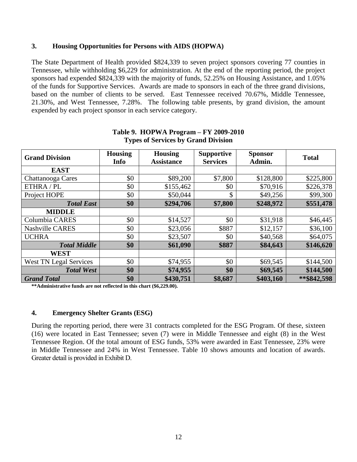#### **3. Housing Opportunities for Persons with AIDS (HOPWA)**

The State Department of Health provided \$824,339 to seven project sponsors covering 77 counties in Tennessee, while withholding \$6,229 for administration. At the end of the reporting period, the project sponsors had expended \$824,339 with the majority of funds, 52.25% on Housing Assistance, and 1.05% of the funds for Supportive Services. Awards are made to sponsors in each of the three grand divisions, based on the number of clients to be served. East Tennessee received 70.67%, Middle Tennessee, 21.30%, and West Tennessee, 7.28%. The following table presents, by grand division, the amount expended by each project sponsor in each service category.

| <b>Grand Division</b>         | <b>Housing</b><br>Info | <b>Housing</b><br><b>Assistance</b> | <b>Supportive</b><br><b>Services</b> | <b>Sponsor</b><br>Admin. | <b>Total</b> |
|-------------------------------|------------------------|-------------------------------------|--------------------------------------|--------------------------|--------------|
| <b>EAST</b>                   |                        |                                     |                                      |                          |              |
| Chattanooga Cares             | \$0                    | \$89,200                            | \$7,800                              | \$128,800                | \$225,800    |
| ETHRA / PL                    | \$0                    | \$155,462                           | \$0                                  | \$70,916                 | \$226,378    |
| Project HOPE                  | \$0                    | \$50,044                            | \$                                   | \$49,256                 | \$99,300     |
| <b>Total East</b>             | \$0                    | \$294,706                           | \$7,800                              | \$248,972                | \$551,478    |
| <b>MIDDLE</b>                 |                        |                                     |                                      |                          |              |
| Columbia CARES                | \$0                    | \$14,527                            | \$0                                  | \$31,918                 | \$46,445     |
| <b>Nashville CARES</b>        | \$0                    | \$23,056                            | \$887                                | \$12,157                 | \$36,100     |
| <b>UCHRA</b>                  | \$0                    | \$23,507                            | \$0                                  | \$40,568                 | \$64,075     |
| <b>Total Middle</b>           | \$0                    | \$61,090                            | \$887                                | \$84,643                 | \$146,620    |
| <b>WEST</b>                   |                        |                                     |                                      |                          |              |
| <b>West TN Legal Services</b> | \$0                    | \$74,955                            | \$0                                  | \$69,545                 | \$144,500    |
| <b>Total West</b>             | \$0                    | \$74,955                            | \$0                                  | \$69,545                 | \$144,500    |
| <b>Grand Total</b>            | \$0                    | \$430,751                           | \$8,687                              | \$403,160                | **\$842,598  |

#### **Table 9. HOPWA Program – FY 2009-2010 Types of Services by Grand Division**

**\*\*Administrative funds are not reflected in this chart (\$6,229.00).**

#### **4. Emergency Shelter Grants (ESG)**

During the reporting period, there were 31 contracts completed for the ESG Program. Of these, sixteen (16) were located in East Tennessee; seven (7) were in Middle Tennessee and eight (8) in the West Tennessee Region. Of the total amount of ESG funds, 53% were awarded in East Tennessee, 23% were in Middle Tennessee and 24% in West Tennessee. Table 10 shows amounts and location of awards. Greater detail is provided in Exhibit D.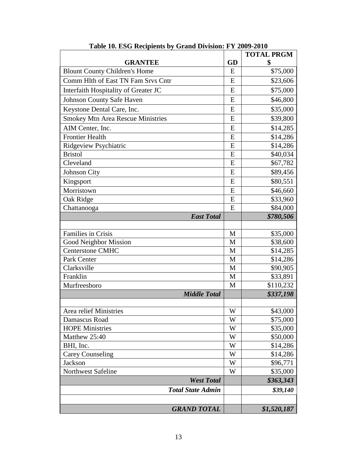|                                      |    | <b>TOTAL PRGM</b> |
|--------------------------------------|----|-------------------|
| <b>GRANTEE</b>                       | GD | \$                |
| <b>Blount County Children's Home</b> | E  | \$75,000          |
| Comm Hlth of East TN Fam Srvs Cntr   | E  | \$23,606          |
| Interfaith Hospitality of Greater JC | E  | \$75,000          |
| <b>Johnson County Safe Haven</b>     | E  | \$46,800          |
| Keystone Dental Care, Inc.           | E  | \$35,000          |
| Smokey Mtn Area Rescue Ministries    | E  | \$39,800          |
| AIM Center, Inc.                     | E  | \$14,285          |
| <b>Frontier Health</b>               | E  | \$14,286          |
| Ridgeview Psychiatric                | E  | \$14,286          |
| <b>Bristol</b>                       | E  | \$40,034          |
| Cleveland                            | E  | \$67,782          |
| Johnson City                         | E  | \$89,456          |
| Kingsport                            | E  | \$80,551          |
| Morristown                           | E  | \$46,660          |
| Oak Ridge                            | E  | \$33,960          |
| Chattanooga                          | E  | \$84,000          |
| <b>East Total</b>                    |    | \$780,506         |
|                                      |    |                   |
| Families in Crisis                   | M  | \$35,000          |
| Good Neighbor Mission                | M  | \$38,600          |
| <b>Centerstone CMHC</b>              | M  | \$14,285          |
| Park Center                          | M  | \$14,286          |
| Clarksville                          | M  | \$90,905          |
| Franklin                             | M  | \$33,891          |
| Murfreesboro                         | M  | \$110,232         |
| <b>Middle Total</b>                  |    | \$337,198         |
|                                      |    |                   |
| Area relief Ministries               | W  | \$43,000          |
| Damascus Road                        | W  | \$75,000          |
| <b>HOPE Ministries</b>               | W  | \$35,000          |
| Matthew 25:40                        | W  | \$50,000          |
| BHI, Inc.                            | W  | \$14,286          |
| <b>Carey Counseling</b>              | W  | \$14,286          |
| Jackson                              | W  | \$96,771          |
| Northwest Safeline                   | W  | \$35,000          |
| <b>West Total</b>                    |    | \$363,343         |
| <b>Total State Admin</b>             |    | \$39,140          |
|                                      |    |                   |
| <b>GRAND TOTAL</b>                   |    | \$1,520,187       |

**Table 10. ESG Recipients by Grand Division: FY 2009-2010**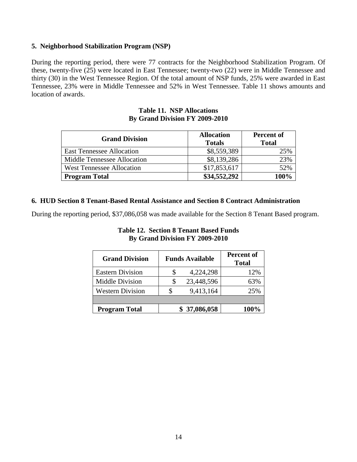#### **5. Neighborhood Stabilization Program (NSP)**

During the reporting period, there were 77 contracts for the Neighborhood Stabilization Program. Of these, twenty-five (25) were located in East Tennessee; twenty-two (22) were in Middle Tennessee and thirty (30) in the West Tennessee Region. Of the total amount of NSP funds, 25% were awarded in East Tennessee, 23% were in Middle Tennessee and 52% in West Tennessee. Table 11 shows amounts and location of awards.

#### **Table 11. NSP Allocations By Grand Division FY 2009-2010**

| <b>Grand Division</b>            | <b>Allocation</b><br><b>Totals</b> | <b>Percent of</b><br><b>Total</b> |
|----------------------------------|------------------------------------|-----------------------------------|
| <b>East Tennessee Allocation</b> | \$8,559,389                        | 25%                               |
| Middle Tennessee Allocation      | \$8,139,286                        | 23%                               |
| <b>West Tennessee Allocation</b> | \$17,853,617                       | 52%                               |
| <b>Program Total</b>             | \$34,552,292                       | 100%                              |

#### **6. HUD Section 8 Tenant-Based Rental Assistance and Section 8 Contract Administration**

During the reporting period, \$37,086,058 was made available for the Section 8 Tenant Based program.

| <b>Grand Division</b>   | <b>Funds Available</b> | Percent of<br><b>Total</b> |
|-------------------------|------------------------|----------------------------|
| <b>Eastern Division</b> | 4,224,298              | 12%                        |
| Middle Division         | 23,448,596             | 63%                        |
| <b>Western Division</b> | 9,413,164              | 25%                        |

**Program Total \$ 37,086,058 100%**

#### **Table 12. Section 8 Tenant Based Funds By Grand Division FY 2009-2010**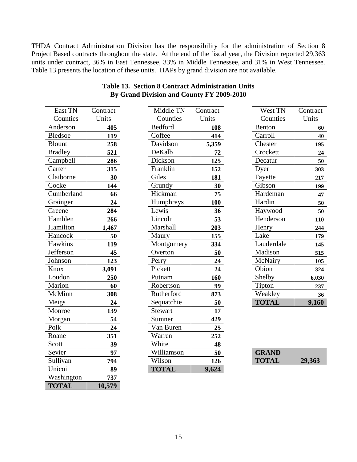THDA Contract Administration Division has the responsibility for the administration of Section 8 Project Based contracts throughout the state. At the end of the fiscal year, the Division reported 29,363 units under contract, 36% in East Tennessee, 33% in Middle Tennessee, and 31% in West Tennessee. Table 13 presents the location of these units. HAPs by grand division are not available.

| East TN        | Contract |
|----------------|----------|
| Counties       | Units    |
| Anderson       | 405      |
| <b>Bledsoe</b> | 119      |
| <b>Blount</b>  | 258      |
| <b>Bradley</b> | 521      |
| Campbell       | 286      |
| Carter         | 315      |
| Claiborne      | 30       |
| Cocke          | 144      |
| Cumberland     | 66       |
| Grainger       | 24       |
| Greene         | 284      |
| Hamblen        | 266      |
| Hamilton       | 1,467    |
| Hancock        | 50       |
| Hawkins        | 119      |
| Jefferson      | 45       |
| Johnson        | 123      |
| Knox           | 3,091    |
| Loudon         | 250      |
| Marion         | 60       |
| McMinn         | 308      |
| Meigs          | 24       |
| Monroe         | 139      |
| Morgan         | 54       |
| Polk           | 24       |
| Roane          | 351      |
| Scott          | 39       |
| Sevier         | 97       |
| Sullivan       | 794      |
| Unicoi         | 89       |
| Washington     | 737      |
| <b>TOTAL</b>   | 10,579   |

| East TN        | Contract | Middle TN      | Contract | West TN      | Contract |
|----------------|----------|----------------|----------|--------------|----------|
| Counties       | Units    | Counties       | Units    | Counties     | Units    |
| Anderson       | 405      | <b>Bedford</b> | 108      | Benton       | 60       |
| <b>Bledsoe</b> | 119      | Coffee         | 414      | Carroll      | 40       |
| <b>Blount</b>  | 258      | Davidson       | 5,359    | Chester      | 195      |
| <b>Bradley</b> | 521      | DeKalb         | 72       | Crockett     | 24       |
| Campbell       | 286      | Dickson        | 125      | Decatur      | 50       |
| Carter         | 315      | Franklin       | 152      | Dyer         | 303      |
| Claiborne      | 30       | Giles          | 181      | Fayette      | 217      |
| Cocke          | 144      | Grundy         | 30       | Gibson       | 199      |
| Cumberland     | 66       | Hickman        | 75       | Hardeman     | 47       |
| Grainger       | 24       | Humphreys      | 100      | Hardin       | 50       |
| Greene         | 284      | Lewis          | 36       | Haywood      | 50       |
| Hamblen        | 266      | Lincoln        | 53       | Henderson    | 110      |
| Hamilton       | 1,467    | Marshall       | 203      | Henry        | 244      |
| Hancock        | 50       | Maury          | 155      | Lake         | 179      |
| <b>Hawkins</b> | 119      | Montgomery     | 334      | Lauderdale   | 145      |
| Jefferson      | 45       | Overton        | 50       | Madison      | 515      |
| Johnson        | 123      | Perry          | 24       | McNairy      | 105      |
| Knox           | 3,091    | Pickett        | 24       | Obion        | 324      |
| Loudon         | 250      | Putnam         | 160      | Shelby       | 6,030    |
| Marion         | 60       | Robertson      | 99       | Tipton       | 237      |
| McMinn         | 308      | Rutherford     | 873      | Weakley      | 36       |
| Meigs          | 24       | Sequatchie     | 50       | <b>TOTAL</b> | 9,160    |
| Monroe         | 139      | <b>Stewart</b> | 17       |              |          |
| Morgan         | 54       | Sumner         | 429      |              |          |
| Polk           | 24       | Van Buren      | 25       |              |          |
| Roane          | 351      | Warren         | 252      |              |          |
| Scott          | 39       | White          | 48       |              |          |
| Sevier         | 97       | Williamson     | 50       | <b>GRAND</b> |          |
| Sullivan       | 794      | Wilson         | 126      | <b>TOTAL</b> | 29,363   |
| Unicoi         | 89       | <b>TOTAL</b>   | 9,624    |              |          |

| Table 13. Section 8 Contract Administration Units |  |
|---------------------------------------------------|--|
| By Grand Division and County FY 2009-2010         |  |

| West TN       | Contract |
|---------------|----------|
| Counties      | Units    |
| <b>Benton</b> | 60       |
| Carroll       | 40       |
| Chester       | 195      |
| Crockett      | 24       |
| Decatur       | 50       |
| Dyer          | 303      |
| Fayette       | 217      |
| Gibson        | 199      |
| Hardeman      | 47       |
| Hardin        | 50       |
| Haywood       | 50       |
| Henderson     | 110      |
| Henry         | 244      |
| Lake          | 179      |
| Lauderdale    | 145      |
| Madison       | 515      |
| McNairy       | 105      |
| Obion         | 324      |
| Shelby        | 6,030    |
| Tipton        | 237      |
| Weakley       | 36       |
| <b>TOTAL</b>  | 9,160    |

| <b>GRAND</b> |        |
|--------------|--------|
| <b>TOTAL</b> | 29,363 |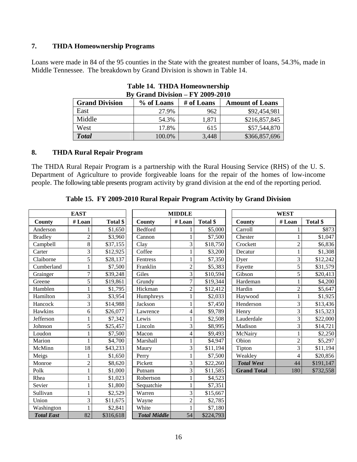### **7. THDA Homeownership Programs**

Loans were made in 84 of the 95 counties in the State with the greatest number of loans, 54.3%, made in Middle Tennessee. The breakdown by Grand Division is shown in Table 14.

| Dy Grand Division – $\Gamma$ 1 2009-2010 |            |            |                        |  |
|------------------------------------------|------------|------------|------------------------|--|
| <b>Grand Division</b>                    | % of Loans | # of Loans | <b>Amount of Loans</b> |  |
| East                                     | 27.9%      | 962        | \$92,454,981           |  |
| Middle                                   | 54.3%      | 1,871      | \$216,857,845          |  |
| West                                     | 17.8%      | 615        | \$57,544,870           |  |
| <b>Total</b>                             | 100.0%     | 3,448      | \$366,857,696          |  |

**Table 14. THDA Homeownership By Grand Division – FY 2009-2010**

#### **8. THDA Rural Repair Program**

The THDA Rural Repair Program is a partnership with the Rural Housing Service (RHS) of the U. S. Department of Agriculture to provide forgiveable loans for the repair of the homes of low-income people. The following table presents program activity by grand division at the end of the reporting period.

|                   | <b>EAST</b>    |           |                     | <b>MIDDLE</b>  |           |                    | <b>WEST</b>    |           |
|-------------------|----------------|-----------|---------------------|----------------|-----------|--------------------|----------------|-----------|
| County            | # Loan         | Total \$  | County              | #Loan          | Total \$  | County             | #Loan          | Total \$  |
| Anderson          |                | \$1,650   | <b>Bedford</b>      |                | \$5,000   | Carroll            |                | \$873     |
| <b>Bradley</b>    | $\overline{c}$ | \$3,960   | Cannon              |                | \$7,500   | Chester            |                | \$1,047   |
| Campbell          | $8\,$          | \$37,155  | Clay                | 3              | \$18,750  | Crockett           | 2              | \$6,836   |
| Carter            | 3              | \$12,925  | Coffee              |                | \$3,200   | Decatur            | 1              | \$1,308   |
| Claiborne         | 5              | \$28,137  | Fentress            | $\mathbf{1}$   | \$7,350   | Dver               | 3              | \$12,242  |
| Cumberland        | 1              | \$7,500   | Franklin            | $\overline{c}$ | \$5,383   | Fayette            | 5              | \$31,579  |
| Grainger          | $\overline{7}$ | \$39,248  | Giles               | 3              | \$10,594  | Gibson             | 5              | \$20,413  |
| Greene            | 5              | \$19,861  | Grundy              | 7              | \$19,344  | Hardeman           |                | \$4,200   |
| Hamblen           | 1              | \$1,795   | Hickman             | $\overline{c}$ | \$12,412  | Hardin             | $\overline{2}$ | \$5,647   |
| Hamilton          | 3              | \$3,954   | Humphreys           | $\mathbf{1}$   | \$2,033   | Haywood            |                | \$1,925   |
| Hancock           | 3              | \$14,988  | Jackson             | $\mathbf{1}$   | \$7,450   | Henderson          | 3              | \$13,436  |
| Hawkins           | 6              | \$26,077  | Lawrence            | 4              | \$9,789   | Henry              | 3              | \$15,323  |
| Jefferson         | 1              | \$7,342   | Lewis               |                | \$2,508   | Lauderdale         | 3              | \$22,000  |
| Johnson           | 5              | \$25,457  | Lincoln             | 3              | \$8,995   | Madison            | 3              | \$14,721  |
| Loudon            | 1              | \$7,500   | Macon               | 4              | \$9,493   | McNairy            |                | \$2,250   |
| Marion            | 1              | \$4,700   | Marshall            |                | \$4,947   | Obion              | $\overline{2}$ | \$5,297   |
| McMinn            | 18             | \$43,233  | Maury               | 3              | \$11,194  | Tipton             | 3              | \$11,194  |
| Meigs             | 1              | \$1,650   | Perry               |                | \$7,500   | Weakley            | 4              | \$20,856  |
| Monroe            | $\overline{2}$ | \$8,620   | Pickett             | 3              | \$22,260  | <b>Total West</b>  | 44             | \$191,147 |
| Polk              | 1              | \$1,000   | Putnam              | 3              | \$11,585  | <b>Grand Total</b> | 180            | \$732,558 |
| Rhea              |                | \$1,023   | Robertson           |                | \$4,523   |                    |                |           |
| Sevier            | 1              | \$1,800   | Sequatchie          |                | \$7,351   |                    |                |           |
| Sullivan          | 1              | \$2,529   | Warren              | 3              | \$15,667  |                    |                |           |
| Union             | 3              | \$11,675  | Wayne               | $\overline{c}$ | \$2,785   |                    |                |           |
| Washington        |                | \$2,841   | White               |                | \$7,180   |                    |                |           |
| <b>Total East</b> | 82             | \$316,618 | <b>Total Middle</b> | 54             | \$224,793 |                    |                |           |

**Table 15. FY 2009-2010 Rural Repair Program Activity by Grand Division**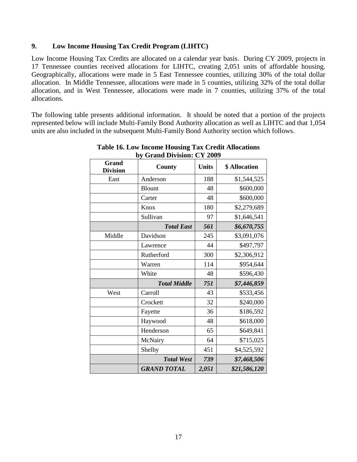#### **9. Low Income Housing Tax Credit Program (LIHTC)**

Low Income Housing Tax Credits are allocated on a calendar year basis. During CY 2009, projects in 17 Tennessee counties received allocations for LIHTC, creating 2,051 units of affordable housing. Geographically, allocations were made in 5 East Tennessee counties, utilizing 30% of the total dollar allocation. In Middle Tennessee, allocations were made in 5 counties, utilizing 32% of the total dollar allocation, and in West Tennessee, allocations were made in 7 counties, utilizing 37% of the total allocations.

The following table presents additional information. It should be noted that a portion of the projects represented below will include Multi-Family Bond Authority allocation as well as LIHTC and that 1,054 units are also included in the subsequent Multi-Family Bond Authority section which follows.

| <b>Grand</b><br><b>Division</b> | County              | <b>Units</b> | \$ Allocation |
|---------------------------------|---------------------|--------------|---------------|
| East                            | Anderson            | 188          | \$1,544,525   |
|                                 | <b>Blount</b>       | 48           | \$600,000     |
|                                 | Carter              | 48           | \$600,000     |
|                                 | Knox                | 180          | \$2,279,689   |
|                                 | Sullivan            | 97           | \$1,646,541   |
|                                 | <b>Total East</b>   | 561          | \$6,670,755   |
| Middle                          | Davidson            | 245          | \$3,091,076   |
|                                 | Lawrence            | 44           | \$497,797     |
|                                 | Rutherford          | 300          | \$2,306,912   |
|                                 | Warren              | 114          | \$954,644     |
|                                 | White               | 48           | \$596,430     |
|                                 | <b>Total Middle</b> | 751          | \$7,446,859   |
| West                            | Carroll             | 43           | \$533,456     |
|                                 | Crockett            | 32           | \$240,000     |
|                                 | Fayette             | 36           | \$186,592     |
|                                 | Haywood             | 48           | \$618,000     |
|                                 | Henderson           | 65           | \$649,841     |
|                                 | McNairy             | 64           | \$715,025     |
|                                 | Shelby              | 451          | \$4,525,592   |
|                                 | <b>Total West</b>   | 739          | \$7,468,506   |
|                                 | <b>GRAND TOTAL</b>  | 2,051        | \$21,586,120  |

**Table 16. Low Income Housing Tax Credit Allocations by Grand Division: CY 2009**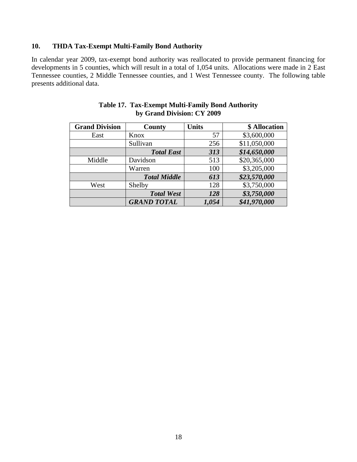### **10. THDA Tax-Exempt Multi-Family Bond Authority**

In calendar year 2009, tax-exempt bond authority was reallocated to provide permanent financing for developments in 5 counties, which will result in a total of 1,054 units. Allocations were made in 2 East Tennessee counties, 2 Middle Tennessee counties, and 1 West Tennessee county. The following table presents additional data.

| <b>Grand Division</b> | County              | <b>Units</b> | \$ Allocation |
|-----------------------|---------------------|--------------|---------------|
| East                  | Knox                | 57           | \$3,600,000   |
|                       | Sullivan            | 256          | \$11,050,000  |
|                       | <b>Total East</b>   | 313          | \$14,650,000  |
| Middle                | Davidson            | 513          | \$20,365,000  |
|                       | Warren              | 100          | \$3,205,000   |
|                       | <b>Total Middle</b> | 613          | \$23,570,000  |
| West                  | Shelby              | 128          | \$3,750,000   |
|                       | <b>Total West</b>   | 128          | \$3,750,000   |
|                       | <b>GRAND TOTAL</b>  | 1,054        | \$41,970,000  |

| <b>Table 17. Tax-Exempt Multi-Family Bond Authority</b> |
|---------------------------------------------------------|
| by Grand Division: CY 2009                              |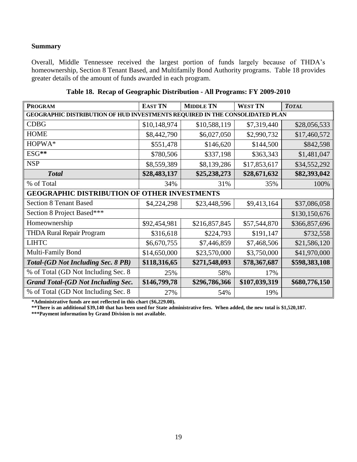### **Summary**

Overall, Middle Tennessee received the largest portion of funds largely because of THDA's homeownership, Section 8 Tenant Based, and Multifamily Bond Authority programs. Table 18 provides greater details of the amount of funds awarded in each program.

| <b>PROGRAM</b>                                                                      | <b>EAST TN</b> | <b>MIDDLE TN</b> | <b>WEST TN</b> | <b>TOTAL</b>  |  |
|-------------------------------------------------------------------------------------|----------------|------------------|----------------|---------------|--|
| <b>GEOGRAPHIC DISTRIBUTION OF HUD INVESTMENTS REQUIRED IN THE CONSOLIDATED PLAN</b> |                |                  |                |               |  |
| <b>CDBG</b>                                                                         | \$10,148,974   | \$10,588,119     | \$7,319,440    | \$28,056,533  |  |
| <b>HOME</b>                                                                         | \$8,442,790    | \$6,027,050      | \$2,990,732    | \$17,460,572  |  |
| HOPWA*                                                                              | \$551,478      | \$146,620        | \$144,500      | \$842,598     |  |
| ESG**                                                                               | \$780,506      | \$337,198        | \$363,343      | \$1,481,047   |  |
| <b>NSP</b>                                                                          | \$8,559,389    | \$8,139,286      | \$17,853,617   | \$34,552,292  |  |
| <b>Total</b>                                                                        | \$28,483,137   | \$25,238,273     | \$28,671,632   | \$82,393,042  |  |
| % of Total                                                                          | 34%            | 31%              | 35%            | 100%          |  |
| <b>OTHER INVESTMENTS</b><br><b>GEOGRAPHIC DISTRIBUTION OF</b>                       |                |                  |                |               |  |
| <b>Section 8 Tenant Based</b>                                                       | \$4,224,298    | \$23,448,596     | \$9,413,164    | \$37,086,058  |  |
| Section 8 Project Based***                                                          |                |                  |                | \$130,150,676 |  |
| Homeownership                                                                       | \$92,454,981   | \$216,857,845    | \$57,544,870   | \$366,857,696 |  |
| <b>THDA Rural Repair Program</b>                                                    | \$316,618      | \$224,793        | \$191,147      | \$732,558     |  |
| <b>LIHTC</b>                                                                        | \$6,670,755    | \$7,446,859      | \$7,468,506    | \$21,586,120  |  |
| Multi-Family Bond                                                                   | \$14,650,000   | \$23,570,000     | \$3,750,000    | \$41,970,000  |  |
| <b>Total-(GD Not Including Sec. 8 PB)</b>                                           | \$118,316,65   | \$271,548,093    | \$78,367,687   | \$598,383,108 |  |
| % of Total (GD Not Including Sec. 8)                                                | 25%            | 58%              | 17%            |               |  |
| <b>Grand Total-(GD Not Including Sec.</b>                                           | \$146,799,78   | \$296,786,366    | \$107,039,319  | \$680,776,150 |  |
| % of Total (GD Not Including Sec. 8)                                                | 27%            | 54%              | 19%            |               |  |

**Table 18. Recap of Geographic Distribution - All Programs: FY 2009-2010**

\*Administrative funds are not reflected in this chart (\$6,229.00).

**\*\*There is an additional \$39,140 that has been used for State administrative fees. When added, the new total is \$1,520,187.**

**\*\*\*Payment information by Grand Division is not available.**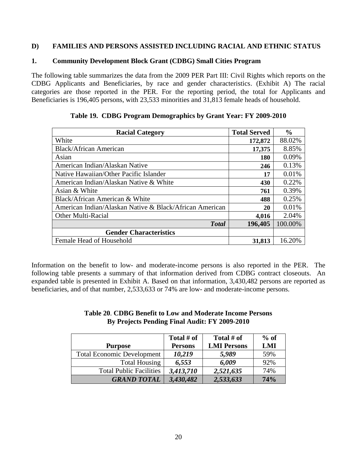#### **D) FAMILIES AND PERSONS ASSISTED INCLUDING RACIAL AND ETHNIC STATUS**

#### **1. Community Development Block Grant (CDBG) Small Cities Program**

The following table summarizes the data from the 2009 PER Part III: Civil Rights which reports on the CDBG Applicants and Beneficiaries, by race and gender characteristics. (Exhibit A) The racial categories are those reported in the PER. For the reporting period, the total for Applicants and Beneficiaries is 196,405 persons, with 23,533 minorities and 31,813 female heads of household.

| <b>Racial Category</b>                                  | <b>Total Served</b> | $\frac{0}{0}$ |
|---------------------------------------------------------|---------------------|---------------|
| White                                                   | 172,872             | 88.02%        |
| <b>Black/African American</b>                           | 17,375              | 8.85%         |
| Asian                                                   | 180                 | 0.09%         |
| American Indian/Alaskan Native                          | 246                 | 0.13%         |
| Native Hawaiian/Other Pacific Islander                  | 17                  | 0.01%         |
| American Indian/Alaskan Native & White                  | 430                 | 0.22%         |
| Asian & White                                           | 761                 | 0.39%         |
| Black/African American & White                          | 488                 | 0.25%         |
| American Indian/Alaskan Native & Black/African American | 20                  | 0.01%         |
| Other Multi-Racial                                      | 4,016               | 2.04%         |
| <b>Total</b>                                            | 196,405             | 100.00%       |
| <b>Gender Characteristics</b>                           |                     |               |
| Female Head of Household                                | 31,813              | 16.20%        |

| Table 19. CDBG Program Demographics by Grant Year: FY 2009-2010 |  |  |
|-----------------------------------------------------------------|--|--|
|                                                                 |  |  |

Information on the benefit to low- and moderate-income persons is also reported in the PER. The following table presents a summary of that information derived from CDBG contract closeouts. An expanded table is presented in Exhibit A. Based on that information, 3,430,482 persons are reported as beneficiaries, and of that number, 2,533,633 or 74% are low- and moderate-income persons.

#### **Table 20**. **CDBG Benefit to Low and Moderate Income Persons By Projects Pending Final Audit: FY 2009-2010**

|                                   | Total # of     | Total # of         | $%$ of |
|-----------------------------------|----------------|--------------------|--------|
| <b>Purpose</b>                    | <b>Persons</b> | <b>LMI Persons</b> | LMI    |
| <b>Total Economic Development</b> | 10,219         | 5,989              | 59%    |
| <b>Total Housing</b>              | 6,553          | 6,009              | 92%    |
| <b>Total Public Facilities</b>    | 3,413,710      | 2,521,635          | 74%    |
| <b>GRAND TOTAL</b>                | 3,430,482      | 2,533,633          | 74%    |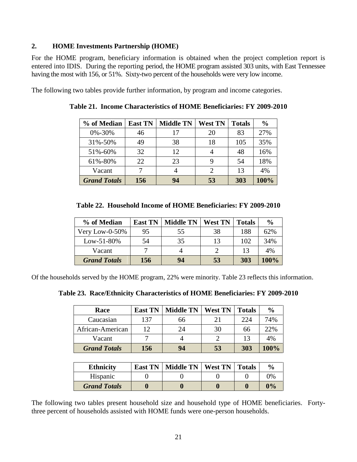### **2. HOME Investments Partnership (HOME)**

For the HOME program, beneficiary information is obtained when the project completion report is entered into IDIS. During the reporting period, the HOME program assisted 303 units, with East Tennessee having the most with 156, or 51%. Sixty-two percent of the households were very low income.

The following two tables provide further information, by program and income categories.

| % of Median         | <b>East TN</b> | <b>Middle TN</b> | <b>West TN</b> | <b>Totals</b> | $\frac{0}{0}$ |
|---------------------|----------------|------------------|----------------|---------------|---------------|
| 0%-30%              | 46             | 17               | 20             | 83            | 27%           |
| 31%-50%             | 49             | 38               | 18             | 105           | 35%           |
| 51%-60%             | 32             | 12               | 4              | 48            | 16%           |
| 61%-80%             | 22             | 23               | 9              | 54            | 18%           |
| Vacant              |                |                  | 2              | 13            | 4%            |
| <b>Grand Totals</b> | 156            | 94               | 53             | 303           | 100%          |

**Table 21. Income Characteristics of HOME Beneficiaries: FY 2009-2010** 

| % of Median         | <b>East TN</b> | <b>Middle TN</b> | <b>West TN</b> | <b>Totals</b> | $\frac{6}{9}$ |
|---------------------|----------------|------------------|----------------|---------------|---------------|
| Very Low-0-50%      | 95             | 55               | 38             | 188           | 62%           |
| $Low-51-80%$        | 54             | 35               | 13             | 102           | 34%           |
| Vacant              |                |                  |                | 13            | 4%            |
| <b>Grand Totals</b> | 156            | 94               | 53             | 303           | 100%          |

Of the households served by the HOME program, 22% were minority. Table 23 reflects this information.

**Table 23. Race/Ethnicity Characteristics of HOME Beneficiaries: FY 2009-2010**

| Race                | <b>East TN</b> | <b>Middle TN</b> | <b>West TN</b> | <b>Totals</b> | $\frac{0}{0}$ |
|---------------------|----------------|------------------|----------------|---------------|---------------|
| Caucasian           | 137            | 66               |                | 224           | 74%           |
| African-American    | 12             | 24               | 30             | 66            | 22%           |
| Vacant              |                |                  |                | 13            | 4%            |
| <b>Grand Totals</b> | 156            | 94               | 53             | 303           | 100%          |

| <b>Ethnicity</b>    | East TN   Middle TN   West TN   Totals |  | $\frac{0}{\alpha}$ |
|---------------------|----------------------------------------|--|--------------------|
| Hispanic            |                                        |  | 0%                 |
| <b>Grand Totals</b> |                                        |  | 0%                 |

The following two tables present household size and household type of HOME beneficiaries. Fortythree percent of households assisted with HOME funds were one-person households.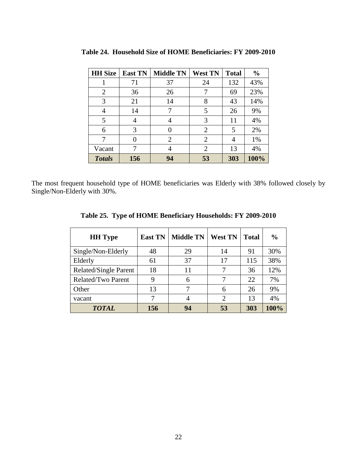| <b>HH Size</b> | <b>East TN</b> | <b>Middle TN</b> | <b>West TN</b> | <b>Total</b> | $\frac{0}{0}$ |
|----------------|----------------|------------------|----------------|--------------|---------------|
|                | 71             | 37               | 24             | 132          | 43%           |
| 2              | 36             | 26               | 7              | 69           | 23%           |
| 3              | 21             | 14               | 8              | 43           | 14%           |
| 4              | 14             |                  | 5              | 26           | 9%            |
| 5              |                |                  | 3              | 11           | 4%            |
| 6              | 3              |                  | 2              | 5            | 2%            |
|                |                | $\overline{2}$   | $\overline{2}$ | 4            | 1%            |
| Vacant         |                |                  | $\overline{2}$ | 13           | 4%            |
| <b>Totals</b>  | 156            | 94               | 53             | 303          | 100%          |

**Table 24. Household Size of HOME Beneficiaries: FY 2009-2010**

The most frequent household type of HOME beneficiaries was Elderly with 38% followed closely by Single/Non-Elderly with 30%.

| <b>HH</b> Type        | <b>East TN</b> | <b>Middle TN</b> | <b>West TN</b> | <b>Total</b> | $\frac{0}{0}$ |
|-----------------------|----------------|------------------|----------------|--------------|---------------|
| Single/Non-Elderly    | 48             | 29               | 14             | 91           | 30%           |
| Elderly               | 61             | 37               | 17             | 115          | 38%           |
| Related/Single Parent | 18             | 11               |                | 36           | 12%           |
| Related/Two Parent    | 9              | 6                |                | 22           | 7%            |
| Other                 | 13             |                  | 6              | 26           | 9%            |
| vacant                | 7              | 4                | 2              | 13           | 4%            |
| <b>TOTAL</b>          | 156            | 94               | 53             | 303          | 100%          |

**Table 25. Type of HOME Beneficiary Households: FY 2009-2010**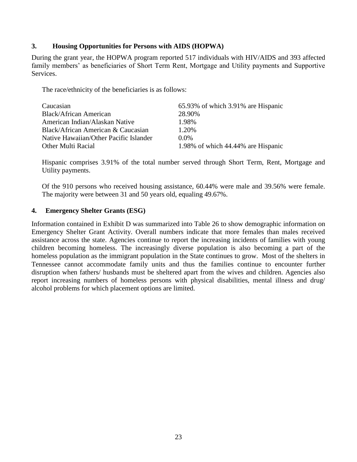#### **3. Housing Opportunities for Persons with AIDS (HOPWA)**

During the grant year, the HOPWA program reported 517 individuals with HIV/AIDS and 393 affected family members' as beneficiaries of Short Term Rent, Mortgage and Utility payments and Supportive Services.

The race/ethnicity of the beneficiaries is as follows:

| Caucasian                              | 65.93% of which 3.91% are Hispanic |
|----------------------------------------|------------------------------------|
| Black/African American                 | 28.90%                             |
| American Indian/Alaskan Native         | 1.98%                              |
| Black/African American & Caucasian     | 1.20%                              |
| Native Hawaiian/Other Pacific Islander | $0.0\%$                            |
| Other Multi Racial                     | 1.98% of which 44.44% are Hispanic |

Hispanic comprises 3.91% of the total number served through Short Term, Rent, Mortgage and Utility payments.

Of the 910 persons who received housing assistance, 60.44% were male and 39.56% were female. The majority were between 31 and 50 years old, equaling 49.67%.

#### **4. Emergency Shelter Grants (ESG)**

Information contained in Exhibit D was summarized into Table 26 to show demographic information on Emergency Shelter Grant Activity. Overall numbers indicate that more females than males received assistance across the state. Agencies continue to report the increasing incidents of families with young children becoming homeless. The increasingly diverse population is also becoming a part of the homeless population as the immigrant population in the State continues to grow. Most of the shelters in Tennessee cannot accommodate family units and thus the families continue to encounter further disruption when fathers/ husbands must be sheltered apart from the wives and children. Agencies also report increasing numbers of homeless persons with physical disabilities, mental illness and drug/ alcohol problems for which placement options are limited.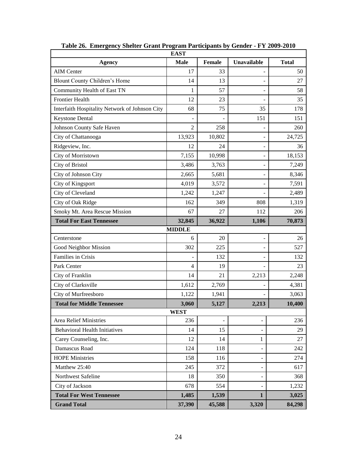| <b>EAST</b>                                    |                |        |                          |              |  |  |  |  |  |  |
|------------------------------------------------|----------------|--------|--------------------------|--------------|--|--|--|--|--|--|
| <b>Agency</b>                                  | <b>Male</b>    | Female | Unavailable              | <b>Total</b> |  |  |  |  |  |  |
| <b>AIM Center</b>                              | 17             | 33     |                          | 50           |  |  |  |  |  |  |
| Blount County Children's Home                  | 14             | 13     | $\overline{a}$           | 27           |  |  |  |  |  |  |
| Community Health of East TN                    | 1              | 57     | $\overline{a}$           | 58           |  |  |  |  |  |  |
| <b>Frontier Health</b>                         | 12             | 23     |                          | 35           |  |  |  |  |  |  |
| Interfaith Hospitality Network of Johnson City | 68             | 75     | 35                       | 178          |  |  |  |  |  |  |
| <b>Keystone Dental</b>                         |                |        | 151                      | 151          |  |  |  |  |  |  |
| Johnson County Safe Haven                      | $\overline{2}$ | 258    |                          | 260          |  |  |  |  |  |  |
| City of Chattanooga                            | 13,923         | 10,802 | $\overline{\phantom{a}}$ | 24,725       |  |  |  |  |  |  |
| Ridgeview, Inc.                                | 12             | 24     | $\overline{a}$           | 36           |  |  |  |  |  |  |
| City of Morristown                             | 7,155          | 10,998 | $\overline{\phantom{a}}$ | 18,153       |  |  |  |  |  |  |
| <b>City of Bristol</b>                         | 3,486          | 3,763  | $\overline{\phantom{a}}$ | 7,249        |  |  |  |  |  |  |
| City of Johnson City                           | 2,665          | 5,681  | $\overline{\phantom{a}}$ | 8,346        |  |  |  |  |  |  |
| City of Kingsport                              | 4,019          | 3,572  |                          | 7,591        |  |  |  |  |  |  |
| City of Cleveland                              | 1,242          | 1,247  |                          | 2,489        |  |  |  |  |  |  |
| City of Oak Ridge                              | 162            | 349    | 808                      | 1,319        |  |  |  |  |  |  |
| Smoky Mt. Area Rescue Mission                  | 67             | 27     | 112                      | 206          |  |  |  |  |  |  |
| <b>Total For East Tennessee</b>                | 32,845         | 36,922 | 1,106                    | 70,873       |  |  |  |  |  |  |
|                                                | <b>MIDDLE</b>  |        |                          |              |  |  |  |  |  |  |
| Centerstone                                    | 6              | 20     | $\overline{\phantom{a}}$ | 26           |  |  |  |  |  |  |
| Good Neighbor Mission                          | 302            | 225    |                          | 527          |  |  |  |  |  |  |
| Families in Crisis                             |                | 132    | $\overline{a}$           | 132          |  |  |  |  |  |  |
| Park Center                                    | 4              | 19     |                          | 23           |  |  |  |  |  |  |
| City of Franklin                               | 14             | 21     | 2,213                    | 2,248        |  |  |  |  |  |  |
| City of Clarksville                            | 1,612          | 2,769  |                          | 4,381        |  |  |  |  |  |  |
| City of Murfreesboro                           | 1,122          | 1,941  |                          | 3,063        |  |  |  |  |  |  |
| <b>Total for Middle Tennessee</b>              | 3,060          | 5,127  | 2,213                    | 10,400       |  |  |  |  |  |  |
|                                                | <b>WEST</b>    |        |                          |              |  |  |  |  |  |  |
| Area Relief Ministries                         | 236            |        |                          | 236          |  |  |  |  |  |  |
| <b>Behavioral Health Initiatives</b>           | 14             | 15     |                          | 29           |  |  |  |  |  |  |
| Carey Counseling, Inc.                         | 12             | 14     | 1                        | 27           |  |  |  |  |  |  |
| Damascus Road                                  | 124            | 118    |                          | 242          |  |  |  |  |  |  |
| <b>HOPE Ministries</b>                         | 158            | 116    |                          | 274          |  |  |  |  |  |  |
| Matthew 25:40                                  | 245            | 372    | ۰                        | 617          |  |  |  |  |  |  |
| Northwest Safeline                             | 18             | 350    |                          | 368          |  |  |  |  |  |  |
| City of Jackson                                | 678            | 554    |                          | 1,232        |  |  |  |  |  |  |
| <b>Total For West Tennessee</b>                | 1,485          | 1,539  | $\mathbf{1}$             | 3,025        |  |  |  |  |  |  |
| <b>Grand Total</b>                             | 37,390         | 45,588 | 3,320                    | 84,298       |  |  |  |  |  |  |

**Table 26. Emergency Shelter Grant Program Participants by Gender - FY 2009-2010**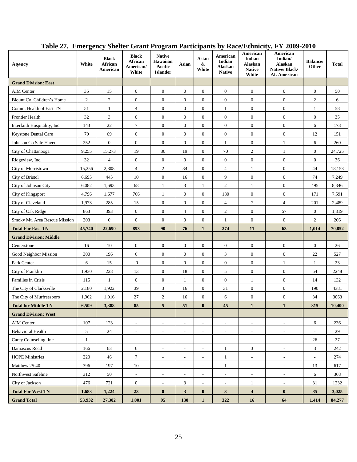| <b>Agency</b>                 | White        | <b>Black</b><br>African<br>American | <b>Black</b><br>African<br>American/<br>White | <b>Native</b><br>Hawaiian<br><b>Pacific</b><br><b>Islander</b> | Asian                    | Asian<br>&<br>White      | American<br>Indian<br>Alaskan<br><b>Native</b> | American<br>Indian<br>Alaskan<br><b>Native</b><br>White | American<br>Indian/<br>Alaskan<br>Native/Black/<br>Af. American | <b>Balance</b> /<br>Other | <b>Total</b> |
|-------------------------------|--------------|-------------------------------------|-----------------------------------------------|----------------------------------------------------------------|--------------------------|--------------------------|------------------------------------------------|---------------------------------------------------------|-----------------------------------------------------------------|---------------------------|--------------|
| <b>Grand Division: East</b>   |              |                                     |                                               |                                                                |                          |                          |                                                |                                                         |                                                                 |                           |              |
| <b>AIM Center</b>             | 35           | 15                                  | $\boldsymbol{0}$                              | $\boldsymbol{0}$                                               | $\mathbf{0}$             | $\overline{0}$           | $\overline{0}$                                 | $\boldsymbol{0}$                                        | $\boldsymbol{0}$                                                | $\overline{0}$            | 50           |
| Blount Co. Children's Home    | $\mathbf{2}$ | $\sqrt{2}$                          | $\boldsymbol{0}$                              | $\boldsymbol{0}$                                               | $\boldsymbol{0}$         | $\boldsymbol{0}$         | $\boldsymbol{0}$                               | $\boldsymbol{0}$                                        | $\boldsymbol{0}$                                                | $\boldsymbol{2}$          | 6            |
| Comm. Health of East TN       | 51           | $\mathbf{1}$                        | $\overline{4}$                                | $\boldsymbol{0}$                                               | $\mathbf{0}$             | $\overline{0}$           | $\mathbf{1}$                                   | $\mathbf{0}$                                            | $\boldsymbol{0}$                                                | $\mathbf{1}$              | 58           |
| <b>Frontier Health</b>        | 32           | $\mathfrak{Z}$                      | $\boldsymbol{0}$                              | $\boldsymbol{0}$                                               | $\boldsymbol{0}$         | $\overline{0}$           | $\boldsymbol{0}$                               | $\boldsymbol{0}$                                        | $\boldsymbol{0}$                                                | $\boldsymbol{0}$          | 35           |
| Interfaith Hospitality, Inc.  | 143          | $22\,$                              | $\tau$                                        | $\boldsymbol{0}$                                               | $\boldsymbol{0}$         | $\boldsymbol{0}$         | $\boldsymbol{0}$                               | $\boldsymbol{0}$                                        | $\boldsymbol{0}$                                                | 6                         | 178          |
| <b>Keystone Dental Care</b>   | 70           | 69                                  | $\boldsymbol{0}$                              | $\boldsymbol{0}$                                               | $\boldsymbol{0}$         | $\overline{0}$           | $\boldsymbol{0}$                               | $\boldsymbol{0}$                                        | $\boldsymbol{0}$                                                | 12                        | 151          |
| Johnson Co Safe Haven         | 252          | $\boldsymbol{0}$                    | $\boldsymbol{0}$                              | $\boldsymbol{0}$                                               | $\boldsymbol{0}$         | $\boldsymbol{0}$         | 1                                              | $\boldsymbol{0}$                                        | $\mathbf{1}$                                                    | 6                         | 260          |
| City of Chattanooga           | 9,255        | 15,273                              | 19                                            | 86                                                             | 19                       | $\overline{0}$           | 70                                             | $\mathbf{2}$                                            | 1                                                               | $\overline{0}$            | 24,725       |
| Ridgeview, Inc.               | 32           | $\overline{4}$                      | $\mathbf{0}$                                  | $\mathbf{0}$                                                   | $\boldsymbol{0}$         | $\overline{0}$           | $\mathbf{0}$                                   | $\mathbf{0}$                                            | $\boldsymbol{0}$                                                | $\boldsymbol{0}$          | 36           |
| City of Morristown            | 15,256       | 2,808                               | $\overline{4}$                                | $\overline{c}$                                                 | 34                       | $\overline{0}$           | $\overline{4}$                                 | 1                                                       | $\boldsymbol{0}$                                                | 44                        | 18,153       |
| City of Bristol               | 6,695        | 445                                 | 10                                            | $\boldsymbol{0}$                                               | 16                       | $\mathbf{0}$             | 9                                              | $\boldsymbol{0}$                                        | $\boldsymbol{0}$                                                | 74                        | 7,249        |
| City of Johnson City          | 6,082        | 1,693                               | 68                                            | 1                                                              | 3                        | 1                        | $\mathbf{2}$                                   | $\mathbf{1}$                                            | $\boldsymbol{0}$                                                | 495                       | 8,346        |
| City of Kingsport             | 4,796        | 1,677                               | 766                                           | $\mathbf{1}$                                                   | $\boldsymbol{0}$         | $\overline{0}$           | 180                                            | $\mathbf{0}$                                            | $\boldsymbol{0}$                                                | 171                       | 7,591        |
| City of Cleveland             | 1,973        | 285                                 | 15                                            | $\boldsymbol{0}$                                               | $\boldsymbol{0}$         | $\boldsymbol{0}$         | $\overline{4}$                                 | $\tau$                                                  | $\overline{4}$                                                  | 201                       | 2,489        |
| City of Oak Ridge             | 863          | 393                                 | $\boldsymbol{0}$                              | $\boldsymbol{0}$                                               | $\overline{4}$           | $\mathbf{0}$             | $\mathbf{2}$                                   | $\boldsymbol{0}$                                        | 57                                                              | $\boldsymbol{0}$          | 1,319        |
| Smoky Mt. Area Rescue Mission | 203          | $\boldsymbol{0}$                    | $\boldsymbol{0}$                              | $\boldsymbol{0}$                                               | $\boldsymbol{0}$         | $\mathbf{0}$             | $\mathbf{1}$                                   | $\boldsymbol{0}$                                        | $\boldsymbol{0}$                                                | $\mathfrak{2}$            | 206          |
| <b>Total For East TN</b>      | 45,740       | 22,690                              | 893                                           | 90                                                             | 76                       | $\mathbf{1}$             | 274                                            | 11                                                      | 63                                                              | 1,014                     | 70,852       |
| <b>Grand Division: Middle</b> |              |                                     |                                               |                                                                |                          |                          |                                                |                                                         |                                                                 |                           |              |
| Centerstone                   | 16           | 10                                  | $\mathbf{0}$                                  | $\boldsymbol{0}$                                               | $\boldsymbol{0}$         | $\boldsymbol{0}$         | $\mathbf{0}$                                   | $\mathbf{0}$                                            | $\boldsymbol{0}$                                                | $\overline{0}$            | 26           |
| Good Neighbor Mission         | 300          | 196                                 | 6                                             | $\mathbf{0}$                                                   | $\mathbf{0}$             | $\mathbf{0}$             | $\mathfrak{Z}$                                 | $\boldsymbol{0}$                                        | $\boldsymbol{0}$                                                | 22                        | 527          |
| Park Center                   | 6            | 15                                  | $\boldsymbol{0}$                              | $\boldsymbol{0}$                                               | $\mathbf{0}$             | $\overline{0}$           | $\boldsymbol{0}$                               | $\boldsymbol{0}$                                        | $\mathbf{1}$                                                    | $\mathbf{1}$              | 23           |
| City of Franklin              | 1,930        | 228                                 | 13                                            | $\boldsymbol{0}$                                               | 18                       | $\mathbf{0}$             | 5                                              | $\boldsymbol{0}$                                        | $\boldsymbol{0}$                                                | 54                        | 2248         |
| Families in Crisis            | 115          | $\mathbf{1}$                        | $\boldsymbol{0}$                              | $\boldsymbol{0}$                                               | 1                        | $\overline{0}$           | $\overline{0}$                                 | $\mathbf{1}$                                            | $\boldsymbol{0}$                                                | 14                        | 132          |
| The City of Clarksville       | 2,180        | 1,922                               | 39                                            | 3                                                              | 16                       | $\overline{0}$           | 31                                             | $\boldsymbol{0}$                                        | $\boldsymbol{0}$                                                | 190                       | 4381         |
| The City of Murfreesboro      | 1,962        | 1,016                               | 27                                            | $\overline{c}$                                                 | 16                       | $\mathbf{0}$             | 6                                              | $\boldsymbol{0}$                                        | $\boldsymbol{0}$                                                | 34                        | 3063         |
| <b>Total for Middle TN</b>    | 6,509        | 3,388                               | 85                                            | 5                                                              | 51                       | $\bf{0}$                 | 45                                             | $\mathbf{1}$                                            | $\mathbf{1}$                                                    | 315                       | 10,400       |
| <b>Grand Division: West</b>   |              |                                     |                                               |                                                                |                          |                          |                                                |                                                         |                                                                 |                           |              |
| AIM Center                    | 107          | 123                                 | $\overline{\phantom{a}}$                      | $\overline{\phantom{a}}$                                       | L,                       | $\overline{\phantom{a}}$ | $\overline{\phantom{a}}$                       | $\overline{\phantom{a}}$                                | $\overline{\phantom{a}}$                                        | 6                         | 236          |
| <b>Behavioral Health</b>      | 5            | 24                                  | $\sim$                                        | $\sim$                                                         | $\sim$                   | $\overline{\phantom{a}}$ | $\overline{\phantom{a}}$                       | $\sim$                                                  | $\sim$                                                          | $\overline{\phantom{a}}$  | 29           |
| Carey Counseling, Inc.        | $\mathbf{1}$ | $\blacksquare$                      | $\sim$                                        | $\overline{\phantom{a}}$                                       |                          | $\overline{\phantom{a}}$ | $\sim$                                         | $\overline{\phantom{a}}$                                | $\sim$                                                          | 26                        | 27           |
| Damascus Road                 | 166          | 63                                  | 6                                             | $\blacksquare$                                                 | $\overline{\phantom{a}}$ | $\overline{\phantom{a}}$ | $\mathbf{1}$                                   | 3                                                       | $\blacksquare$                                                  | 3                         | 242          |
| <b>HOPE Ministries</b>        | 220          | 46                                  | $\boldsymbol{7}$                              | $\overline{\phantom{a}}$                                       | $\overline{\phantom{a}}$ | $\overline{\phantom{a}}$ | $\mathbf{1}$                                   | $\overline{\phantom{a}}$                                | $\overline{\phantom{a}}$                                        | $\overline{\phantom{a}}$  | 274          |
| Matthew 25:40                 | 396          | 197                                 | 10                                            | $\blacksquare$                                                 | $\overline{\phantom{a}}$ | $\overline{\phantom{a}}$ | $\mathbf{1}$                                   | $\overline{\phantom{a}}$                                | $\blacksquare$                                                  | 13                        | 617          |
| Northwest Safeline            | 312          | 50                                  | $\sim$                                        | $\overline{\phantom{a}}$                                       |                          | $\overline{\phantom{0}}$ | $\overline{\phantom{a}}$                       | $\overline{\phantom{a}}$                                | $\overline{\phantom{a}}$                                        | 6                         | 368          |
| City of Jackson               | 476          | 721                                 | $\mathbf{0}$                                  | $\overline{\phantom{a}}$                                       | $\mathfrak{Z}$           | $\overline{\phantom{a}}$ | $\overline{\phantom{a}}$                       | $\mathbf{1}$                                            | $\blacksquare$                                                  | 31                        | 1232         |
| <b>Total For West TN</b>      | 1,683        | 1,224                               | $23\,$                                        | $\bf{0}$                                                       | $\mathbf{3}$             | $\bf{0}$                 | $\mathbf{3}$                                   | $\overline{\mathbf{4}}$                                 | $\bf{0}$                                                        | 85                        | 3,025        |
| <b>Grand Total</b>            | 53,932       | 27,302                              | 1,001                                         | 95                                                             | 130                      | $\mathbf{1}$             | 322                                            | 16                                                      | 64                                                              | 1,414                     | 84,277       |

**Table 27. Emergency Shelter Grant Program Participants by Race/Ethnicity, FY 2009-2010**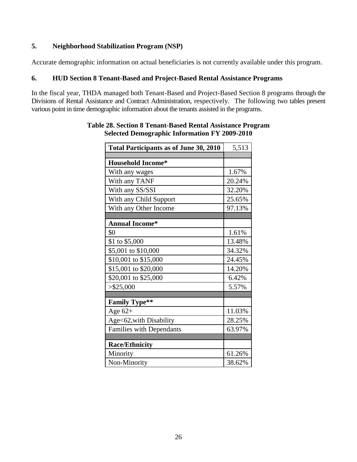### **5. Neighborhood Stabilization Program (NSP)**

Accurate demographic information on actual beneficiaries is not currently available under this program.

#### **6. HUD Section 8 Tenant-Based and Project-Based Rental Assistance Programs**

In the fiscal year, THDA managed both Tenant-Based and Project-Based Section 8 programs through the Divisions of Rental Assistance and Contract Administration, respectively. The following two tables present various point in time demographic information about the tenants assisted in the programs.

| <b>Total Participants as of June 30, 2010</b> | 5,513  |
|-----------------------------------------------|--------|
| <b>Household Income*</b>                      |        |
| With any wages                                | 1.67%  |
| With any TANF                                 | 20.24% |
| With any SS/SSI                               | 32.20% |
| With any Child Support                        | 25.65% |
| With any Other Income                         | 97.13% |
|                                               |        |
| <b>Annual Income*</b>                         |        |
| \$0                                           | 1.61%  |
| \$1 to \$5,000                                | 13.48% |
| \$5,001 to \$10,000                           | 34.32% |
| \$10,001 to \$15,000                          | 24.45% |
| \$15,001 to \$20,000                          | 14.20% |
| \$20,001 to \$25,000                          | 6.42%  |
| $>$ \$25,000                                  | 5.57%  |
|                                               |        |
| <b>Family Type**</b>                          |        |
| Age $62+$                                     | 11.03% |
| Age<62, with Disability                       | 28.25% |
| <b>Families with Dependants</b>               | 63.97% |
|                                               |        |
| <b>Race/Ethnicity</b>                         |        |
| Minority                                      | 61.26% |
| Non-Minority                                  | 38.62% |

#### **Table 28. Section 8 Tenant-Based Rental Assistance Program Selected Demographic Information FY 2009-2010**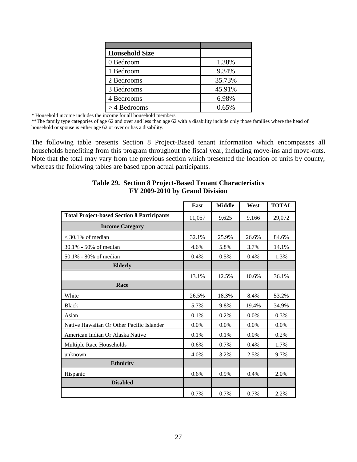| <b>Household Size</b> |        |
|-----------------------|--------|
| 0 Bedroom             | 1.38%  |
| 1 Bedroom             | 9.34%  |
| 2 Bedrooms            | 35.73% |
| 3 Bedrooms            | 45.91% |
| 4 Bedrooms            | 6.98%  |
| $>$ 4 Bedrooms        | 0.65%  |

\* Household income includes the income for all household members.

\*\*The family type categories of age 62 and over and less than age 62 with a disability include only those families where the head of household or spouse is either age 62 or over or has a disability.

The following table presents Section 8 Project-Based tenant information which encompasses all households benefiting from this program throughout the fiscal year, including move-ins and move-outs. Note that the total may vary from the previous section which presented the location of units by county, whereas the following tables are based upon actual participants.

|                                                   | East   | <b>Middle</b> | West  | <b>TOTAL</b> |
|---------------------------------------------------|--------|---------------|-------|--------------|
| <b>Total Project-based Section 8 Participants</b> | 11,057 | 9,625         | 9,166 | 29,072       |
| <b>Income Category</b>                            |        |               |       |              |
| $<$ 30.1% of median                               | 32.1%  | 25.9%         | 26.6% | 84.6%        |
| 30.1% - 50% of median                             | 4.6%   | 5.8%          | 3.7%  | 14.1%        |
| 50.1% - 80% of median                             | 0.4%   | 0.5%          | 0.4%  | 1.3%         |
| <b>Elderly</b>                                    |        |               |       |              |
|                                                   | 13.1%  | 12.5%         | 10.6% | 36.1%        |
| Race                                              |        |               |       |              |
| White                                             | 26.5%  | 18.3%         | 8.4%  | 53.2%        |
| <b>Black</b>                                      | 5.7%   | 9.8%          | 19.4% | 34.9%        |
| Asian                                             | 0.1%   | 0.2%          | 0.0%  | 0.3%         |
| Native Hawaiian Or Other Pacific Islander         | 0.0%   | 0.0%          | 0.0%  | 0.0%         |
| American Indian Or Alaska Native                  | 0.1%   | 0.1%          | 0.0%  | 0.2%         |
| Multiple Race Households                          | 0.6%   | 0.7%          | 0.4%  | 1.7%         |
| unknown                                           | 4.0%   | 3.2%          | 2.5%  | 9.7%         |
| <b>Ethnicity</b>                                  |        |               |       |              |
| Hispanic                                          | 0.6%   | 0.9%          | 0.4%  | 2.0%         |
| <b>Disabled</b>                                   |        |               |       |              |
|                                                   | 0.7%   | 0.7%          | 0.7%  | 2.2%         |

#### **Table 29. Section 8 Project-Based Tenant Characteristics FY 2009-2010 by Grand Division**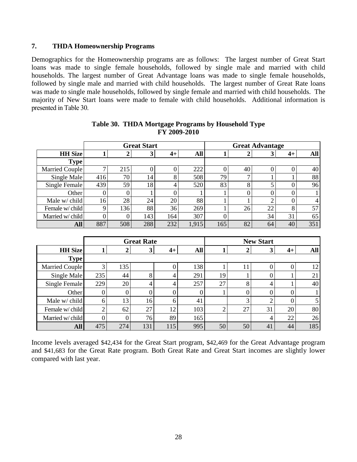### **7. THDA Homeownership Programs**

Demographics for the Homeownership programs are as follows: The largest number of Great Start loans was made to single female households, followed by single male and married with child households. The largest number of Great Advantage loans was made to single female households, followed by single male and married with child households. The largest number of Great Rate loans was made to single male households, followed by single female and married with child households. The majority of New Start loans were made to female with child households. Additional information is presented in Table 30.

|                  |     |     | <b>Great Start</b> | <b>Great Advantage</b> |            |     |    |    |    |                |
|------------------|-----|-----|--------------------|------------------------|------------|-----|----|----|----|----------------|
| <b>HH</b> Size   |     |     | 3                  | $4+$                   | <b>All</b> |     |    | Ĵ  | 4+ | <b>All</b>     |
| <b>Type</b>      |     |     |                    |                        |            |     |    |    |    |                |
| Married Couple   |     | 215 |                    |                        | 222        | 0   | 40 | 0  | O  | 40             |
| Single Male      | 416 | 70  | 14                 | 8                      | 508        | 79  |    |    |    | 88             |
| Single Female    | 439 | 59  | 18                 | 4                      | 520        | 83  |    |    |    | 96             |
| Other            |     | 0   |                    |                        |            |     |    | 0  |    |                |
| Male w/ child    | 16  | 28  | 24                 | 20                     | 88         |     |    | ◠  | 0  | $\overline{4}$ |
| Female w/child   |     | 136 | 88                 | 36                     | 269        |     | 26 | 22 | 8  | 57             |
| Married w/ child |     | 0   | 143                | 164                    | 307        |     |    | 34 | 31 | 65             |
| <b>All</b>       | 887 | 508 | 288                | 232                    | 1,915      | 165 | 82 | 64 | 40 | 351            |

| Table 30. THDA Mortgage Programs by Household Type |  |
|----------------------------------------------------|--|
| FY 2009-2010                                       |  |

|                  | <b>Great Rate</b> |     |     |                  |     |    |    | <b>New Start</b> |      |     |
|------------------|-------------------|-----|-----|------------------|-----|----|----|------------------|------|-----|
| <b>HH</b> Size   |                   |     | 3   | $4+$             | All |    |    | 3                | $4+$ | All |
| <b>Type</b>      |                   |     |     |                  |     |    |    |                  |      |     |
| Married Couple   | 3                 | 135 |     | 0                | 138 |    |    |                  |      | 12  |
| Single Male      | 235               | 44  | 8   | 4                | 291 | 19 |    |                  |      | 21  |
| Single Female    | 229               | 20  | 4   | 4                | 257 | 27 | 8  | 4                |      | 40  |
| Other            | 0                 |     |     | $\boldsymbol{0}$ |     |    |    |                  |      |     |
| Male w/ child    | 6                 | 13  | 16  | 6                | 41  |    |    |                  |      |     |
| Female w/child   |                   | 62  | 27  | 12               | 103 |    | 27 | 31               | 20   | 80  |
| Married w/ child |                   |     | 76  | 89               | 165 |    |    | 4                | 22   | 26  |
| <b>All</b>       | 475               | 274 | 131 | 115              | 995 | 50 | 50 | 41               | 44   | 185 |

Income levels averaged \$42,434 for the Great Start program, \$42,469 for the Great Advantage program and \$41,683 for the Great Rate program. Both Great Rate and Great Start incomes are slightly lower compared with last year.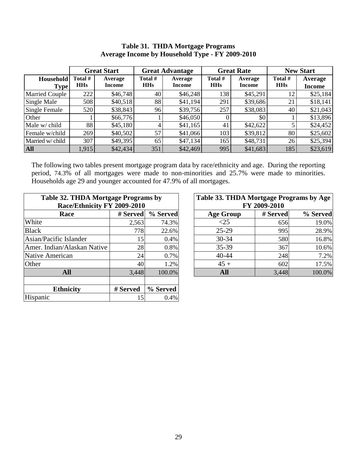### **Table 31. THDA Mortgage Programs Average Income by Household Type - FY 2009-2010**

|                                 | <b>Great Start</b>    |                   |                       | <b>Great Advantage</b>   |                       | <b>Great Rate</b>        | <b>New Start</b>      |                          |
|---------------------------------|-----------------------|-------------------|-----------------------|--------------------------|-----------------------|--------------------------|-----------------------|--------------------------|
| <b>Household</b><br><b>Type</b> | Total #<br><b>HHs</b> | Average<br>Income | Total #<br><b>HHs</b> | Average<br><b>Income</b> | Total #<br><b>HHs</b> | Average<br><b>Income</b> | Total #<br><b>HHs</b> | Average<br><b>Income</b> |
| <b>Married Couple</b>           | 222                   | \$46,748          | 40                    | \$46,248                 | 138                   | \$45,291                 | 12                    | \$25,184                 |
| Single Male                     | 508                   | \$40,518          | 88                    | \$41,194                 | 291                   | \$39,686                 | 21                    | \$18,141                 |
| Single Female                   | 520                   | \$38,843          | 96                    | \$39,756                 | 257                   | \$38,083                 | 40                    | \$21,043                 |
| Other                           |                       | \$66,776          |                       | \$46,050                 |                       | \$0                      |                       | \$13,896                 |
| Male w/ child                   | 88                    | \$45,180          | 4                     | \$41,165                 | 41                    | \$42,622                 |                       | \$24,452                 |
| Female w/child                  | 269                   | \$40,502          | 57                    | \$41,066                 | 103                   | \$39,812                 | 80                    | \$25,602                 |
| Married w/ child                | 307                   | \$49,395          | 65                    | \$47,134                 | 165                   | \$48,731                 | 26                    | \$25,394                 |
| <b>All</b>                      | 1,915                 | \$42,434          | 351                   | \$42,469                 | 995                   | \$41,683                 | 185                   | \$23,619                 |

The following two tables present mortgage program data by race/ethnicity and age. During the reporting period, 74.3% of all mortgages were made to non-minorities and 25.7% were made to minorities. Households age 29 and younger accounted for 47.9% of all mortgages.

| Table 32. THDA Mortgage Programs by<br>Race/Ethnicity FY 2009-2010 |          |          | Table 33. THDA Mortgage Programs by Age | FY 2009-2010 |          |
|--------------------------------------------------------------------|----------|----------|-----------------------------------------|--------------|----------|
| Race                                                               | # Served | % Served | <b>Age Group</b>                        | # Served     | % Served |
| White                                                              | 2,563    | 74.3%    | <25                                     | 656          | 19.0%    |
| <b>Black</b>                                                       | 778      | 22.6%    | $25-29$                                 | 995          | 28.9%    |
| Asian/Pacific Islander                                             | 15       | 0.4%     | $30 - 34$                               | 580          | 16.8%    |
| Amer. Indian/Alaskan Native                                        | 28       | 0.8%     | 35-39                                   | 367          | 10.6%    |
| Native American                                                    | 24       | 0.7%     | $40 - 44$                               | 248          | 7.2%     |
| Other                                                              | 40       | 1.2%     | $45 +$                                  | 602          | 17.5%    |
| <b>All</b>                                                         | 3,448    | 100.0%   | <b>All</b>                              | 3,448        | 100.0%   |
|                                                                    |          |          |                                         |              |          |
| <b>Ethnicity</b>                                                   | # Served | % Served |                                         |              |          |
| Hispanic                                                           | 15       | 0.4%     |                                         |              |          |

| 32. THDA Mortgage Programs by |          |          | Table 33. THDA Mortgage Programs by Age |              |          |
|-------------------------------|----------|----------|-----------------------------------------|--------------|----------|
| Race/Ethnicity FY 2009-2010   |          |          |                                         | FY 2009-2010 |          |
| <b>Race</b>                   | # Served | % Served | <b>Age Group</b>                        | # Served     | % Served |
|                               | 2,563    | 74.3%    | ${<}25$                                 | 656          | 19.0%    |
|                               | 778      | 22.6%    | $25-29$                                 | 995          | 28.9%    |
| c Islander                    | 15       | 0.4%     | $30 - 34$                               | 580          | 16.8%    |
| n/Alaskan Native              | 28       | 0.8%     | 35-39                                   | 367          | 10.6%    |
| rican                         | 24       | 0.7%     | $40 - 44$                               | 248          | 7.2%     |
|                               | 40       | 1.2%     | $45 +$                                  | 602          | 17.5%    |
| <b>All</b>                    | 3,448    | 100.0%   | All                                     | 3,448        | 100.0%   |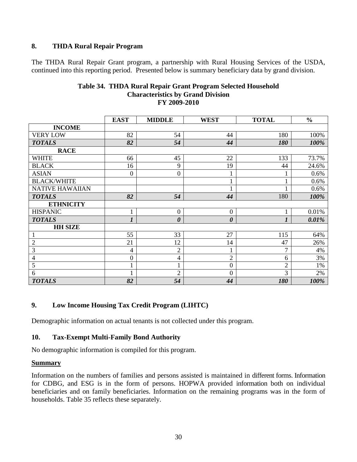### **8. THDA Rural Repair Program**

The THDA Rural Repair Grant program, a partnership with Rural Housing Services of the USDA, continued into this reporting period. Presented below is summary beneficiary data by grand division.

|                        | <b>EAST</b>      | <b>MIDDLE</b>  | <b>WEST</b>    | <b>TOTAL</b>   | $\frac{0}{0}$ |
|------------------------|------------------|----------------|----------------|----------------|---------------|
| <b>INCOME</b>          |                  |                |                |                |               |
| <b>VERY LOW</b>        | 82               | 54             | 44             | 180            | 100%          |
| <b>TOTALS</b>          | 82               | 54             | 44             | 180            | 100%          |
| <b>RACE</b>            |                  |                |                |                |               |
| <b>WHITE</b>           | 66               | 45             | 22             | 133            | 73.7%         |
| <b>BLACK</b>           | 16               | 9              | 19             | 44             | 24.6%         |
| <b>ASIAN</b>           | 0                | 0              |                | 1              | 0.6%          |
| <b>BLACK/WHITE</b>     |                  |                | 1              | $\mathbf{1}$   | 0.6%          |
| <b>NATIVE HAWAIIAN</b> |                  |                |                | 1              | 0.6%          |
| <b>TOTALS</b>          | 82               | 54             | 44             | 180            | 100%          |
| <b>ETHNICITY</b>       |                  |                |                |                |               |
| <b>HISPANIC</b>        |                  | $\mathbf{0}$   | $\overline{0}$ | 1              | 0.01%         |
| <b>TOTALS</b>          | $\boldsymbol{l}$ | 0              | 0              | 1              | 0.01%         |
| <b>HH SIZE</b>         |                  |                |                |                |               |
| $\mathbf{1}$           | 55               | 33             | 27             | 115            | 64%           |
| $\mathfrak{2}$         | 21               | 12             | 14             | 47             | 26%           |
| 3                      | 4                | $\overline{c}$ | 1              | $\overline{7}$ | 4%            |
| $\overline{4}$         | 0                | 4              | $\overline{2}$ | 6              | 3%            |
| 5                      |                  |                | $\overline{0}$ | $\overline{2}$ | 1%            |
| 6                      |                  | $\overline{2}$ | $\mathbf{0}$   | 3              | 2%            |
| <b>TOTALS</b>          | 82               | 54             | 44             | 180            | 100%          |

#### **Table 34. THDA Rural Repair Grant Program Selected Household Characteristics by Grand Division FY 2009-2010**

### **9. Low Income Housing Tax Credit Program (LIHTC)**

Demographic information on actual tenants is not collected under this program.

### **10. Tax-Exempt Multi-Family Bond Authority**

No demographic information is compiled for this program.

#### **Summary**

Information on the numbers of families and persons assisted is maintained in different forms. Information for CDBG, and ESG is in the form of persons. HOPWA provided information both on individual beneficiaries and on family beneficiaries. Information on the remaining programs was in the form of households. Table 35 reflects these separately.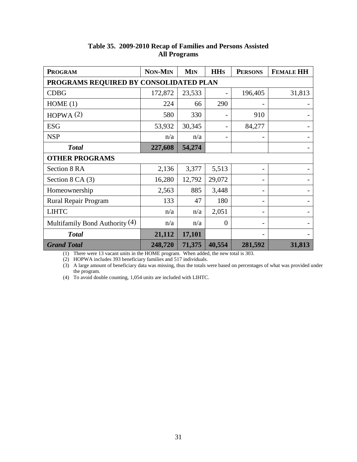| <b>PROGRAM</b>                         | <b>NON-MIN</b> | <b>MIN</b> | <b>HH<sub>S</sub></b> | <b>PERSONS</b> | <b>FEMALE HH</b> |  |  |  |
|----------------------------------------|----------------|------------|-----------------------|----------------|------------------|--|--|--|
| PROGRAMS REQUIRED BY CONSOLIDATED PLAN |                |            |                       |                |                  |  |  |  |
| <b>CDBG</b>                            | 172,872        | 23,533     |                       | 196,405        | 31,813           |  |  |  |
| HOME(1)                                | 224            | 66         | 290                   |                |                  |  |  |  |
| HOPWA $(2)$                            | 580            | 330        |                       | 910            |                  |  |  |  |
| <b>ESG</b>                             | 53,932         | 30,345     |                       | 84,277         |                  |  |  |  |
| <b>NSP</b>                             | n/a            | n/a        |                       |                |                  |  |  |  |
| <b>Total</b>                           | 227,608        | 54,274     |                       |                |                  |  |  |  |
| <b>OTHER PROGRAMS</b>                  |                |            |                       |                |                  |  |  |  |
| Section 8 RA                           | 2,136          | 3,377      | 5,513                 |                |                  |  |  |  |
| Section $8$ CA $(3)$                   | 16,280         | 12,792     | 29,072                |                |                  |  |  |  |
| Homeownership                          | 2,563          | 885        | 3,448                 |                |                  |  |  |  |
| Rural Repair Program                   | 133            | 47         | 180                   |                |                  |  |  |  |
| <b>LIHTC</b>                           | n/a            | n/a        | 2,051                 |                |                  |  |  |  |
| Multifamily Bond Authority (4)         | n/a            | n/a        | $\overline{0}$        |                |                  |  |  |  |
| <b>Total</b>                           | 21,112         | 17,101     |                       |                |                  |  |  |  |
| <b>Grand Total</b>                     | 248,720        | 71,375     | 40,554                | 281,592        | 31,813           |  |  |  |

### **Table 35. 2009-2010 Recap of Families and Persons Assisted All Programs**

(1) There were 13 vacant units in the HOME program. When added, the new total is 303.

(2) HOPWA includes 393 beneficiary families and 517 individuals.

(3) A large amount of beneficiary data was missing, thus the totals were based on percentages of what was provided under the program.

(4) To avoid double counting, 1,054 units are included with LIHTC.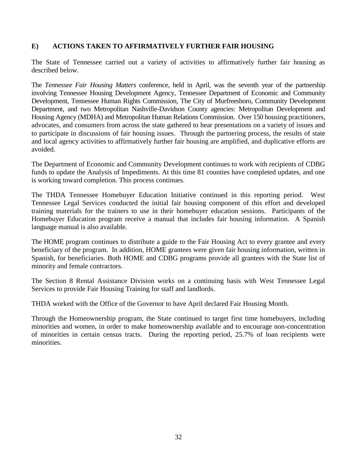### **E) ACTIONS TAKEN TO AFFIRMATIVELY FURTHER FAIR HOUSING**

The State of Tennessee carried out a variety of activities to affirmatively further fair housing as described below.

The *Tennessee Fair Housing Matters* conference, held in April, was the seventh year of the partnership involving Tennessee Housing Development Agency, Tennessee Department of Economic and Community Development, Tennessee Human Rights Commission, The City of Murfreesboro, Community Development Department, and two Metropolitan Nashville-Davidson County agencies: Metropolitan Development and Housing Agency (MDHA) and Metropolitan Human Relations Commission. Over 150 housing practitioners, advocates, and consumers from across the state gathered to hear presentations on a variety of issues and to participate in discussions of fair housing issues. Through the partnering process, the results of state and local agency activities to affirmatively further fair housing are amplified, and duplicative efforts are avoided.

The Department of Economic and Community Development continues to work with recipients of CDBG funds to update the Analysis of Impediments. At this time 81 counties have completed updates, and one is working toward completion. This process continues.

The THDA Tennessee Homebuyer Education Initiative continued in this reporting period. West Tennessee Legal Services conducted the initial fair housing component of this effort and developed training materials for the trainers to use in their homebuyer education sessions. Participants of the Homebuyer Education program receive a manual that includes fair housing information. A Spanish language manual is also available.

The HOME program continues to distribute a guide to the Fair Housing Act to every grantee and every beneficiary of the program. In addition, HOME grantees were given fair housing information, written in Spanish, for beneficiaries. Both HOME and CDBG programs provide all grantees with the State list of minority and female contractors.

The Section 8 Rental Assistance Division works on a continuing basis with West Tennessee Legal Services to provide Fair Housing Training for staff and landlords.

THDA worked with the Office of the Governor to have April declared Fair Housing Month.

Through the Homeownership program, the State continued to target first time homebuyers, including minorities and women, in order to make homeownership available and to encourage non-concentration of minorities in certain census tracts. During the reporting period, 25.7% of loan recipients were minorities.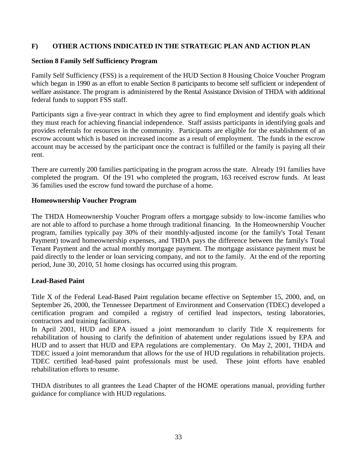### **F) OTHER ACTIONS INDICATED IN THE STRATEGIC PLAN AND ACTION PLAN**

### **Section 8 Family Self Sufficiency Program**

Family Self Sufficiency (FSS) is a requirement of the HUD Section 8 Housing Choice Voucher Program which began in 1990 as an effort to enable Section 8 participants to become self sufficient or independent of welfare assistance. The program is administered by the Rental Assistance Division of THDA with additional federal funds to support FSS staff.

Participants sign a five-year contract in which they agree to find employment and identify goals which they must reach for achieving financial independence. Staff assists participants in identifying goals and provides referrals for resources in the community. Participants are eligible for the establishment of an escrow account which is based on increased income as a result of employment. The funds in the escrow account may be accessed by the participant once the contract is fulfilled or the family is paying all their rent.

There are currently 200 families participating in the program across the state. Already 191 families have completed the program. Of the 191 who completed the program, 163 received escrow funds. At least 36 families used the escrow fund toward the purchase of a home.

#### **Homeownership Voucher Program**

The THDA Homeownership Voucher Program offers a mortgage subsidy to low-income families who are not able to afford to purchase a home through traditional financing. In the Homeownership Voucher program, families typically pay 30% of their monthly-adjusted income (or the family's Total Tenant Payment) toward homeownership expenses, and THDA pays the difference between the family's Total Tenant Payment and the actual monthly mortgage payment. The mortgage assistance payment must be paid directly to the lender or loan servicing company, and not to the family. At the end of the reporting period, June 30, 2010, 51 home closings has occurred using this program.

### **Lead-Based Paint**

Title X of the Federal Lead-Based Paint regulation became effective on September 15, 2000, and, on September 26, 2000, the Tennessee Department of Environment and Conservation (TDEC) developed a certification program and compiled a registry of certified lead inspectors, testing laboratories, contractors and training facilitators.

In April 2001, HUD and EPA issued a joint memorandum to clarify Title X requirements for rehabilitation of housing to clarify the definition of abatement under regulations issued by EPA and HUD and to assert that HUD and EPA regulations are complementary. On May 2, 2001, THDA and TDEC issued a joint memorandum that allows for the use of HUD regulations in rehabilitation projects. TDEC certified lead-based paint professionals must be used. These joint efforts have enabled rehabilitation efforts to resume.

THDA distributes to all grantees the Lead Chapter of the HOME operations manual, providing further guidance for compliance with HUD regulations.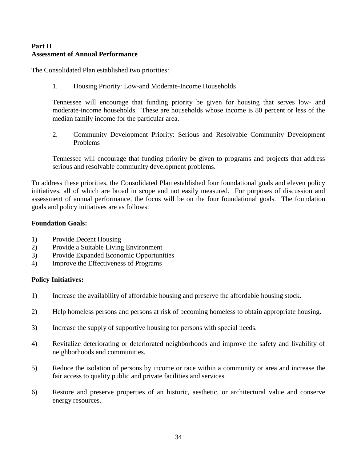### **Part II Assessment of Annual Performance**

The Consolidated Plan established two priorities:

1. Housing Priority: Low-and Moderate-Income Households

Tennessee will encourage that funding priority be given for housing that serves low- and moderate-income households. These are households whose income is 80 percent or less of the median family income for the particular area.

2. Community Development Priority: Serious and Resolvable Community Development Problems

Tennessee will encourage that funding priority be given to programs and projects that address serious and resolvable community development problems.

To address these priorities, the Consolidated Plan established four foundational goals and eleven policy initiatives, all of which are broad in scope and not easily measured. For purposes of discussion and assessment of annual performance, the focus will be on the four foundational goals. The foundation goals and policy initiatives are as follows:

#### **Foundation Goals:**

- 1) Provide Decent Housing
- 2) Provide a Suitable Living Environment
- 3) Provide Expanded Economic Opportunities
- 4) Improve the Effectiveness of Programs

#### **Policy Initiatives:**

- 1) Increase the availability of affordable housing and preserve the affordable housing stock.
- 2) Help homeless persons and persons at risk of becoming homeless to obtain appropriate housing.
- 3) Increase the supply of supportive housing for persons with special needs.
- 4) Revitalize deteriorating or deteriorated neighborhoods and improve the safety and livability of neighborhoods and communities.
- 5) Reduce the isolation of persons by income or race within a community or area and increase the fair access to quality public and private facilities and services.
- 6) Restore and preserve properties of an historic, aesthetic, or architectural value and conserve energy resources.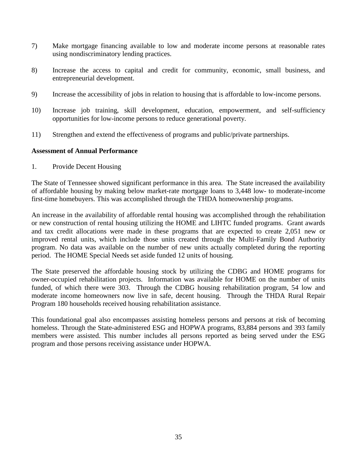- 7) Make mortgage financing available to low and moderate income persons at reasonable rates using nondiscriminatory lending practices.
- 8) Increase the access to capital and credit for community, economic, small business, and entrepreneurial development.
- 9) Increase the accessibility of jobs in relation to housing that is affordable to low-income persons.
- 10) Increase job training, skill development, education, empowerment, and self-sufficiency opportunities for low-income persons to reduce generational poverty.
- 11) Strengthen and extend the effectiveness of programs and public/private partnerships.

#### **Assessment of Annual Performance**

1. Provide Decent Housing

The State of Tennessee showed significant performance in this area. The State increased the availability of affordable housing by making below market-rate mortgage loans to 3,448 low- to moderate-income first-time homebuyers. This was accomplished through the THDA homeownership programs.

An increase in the availability of affordable rental housing was accomplished through the rehabilitation or new construction of rental housing utilizing the HOME and LIHTC funded programs. Grant awards and tax credit allocations were made in these programs that are expected to create 2,051 new or improved rental units, which include those units created through the Multi-Family Bond Authority program. No data was available on the number of new units actually completed during the reporting period. The HOME Special Needs set aside funded 12 units of housing.

The State preserved the affordable housing stock by utilizing the CDBG and HOME programs for owner-occupied rehabilitation projects. Information was available for HOME on the number of units funded, of which there were 303. Through the CDBG housing rehabilitation program, 54 low and moderate income homeowners now live in safe, decent housing. Through the THDA Rural Repair Program 180 households received housing rehabilitation assistance.

This foundational goal also encompasses assisting homeless persons and persons at risk of becoming homeless. Through the State-administered ESG and HOPWA programs, 83,884 persons and 393 family members were assisted. This number includes all persons reported as being served under the ESG program and those persons receiving assistance under HOPWA.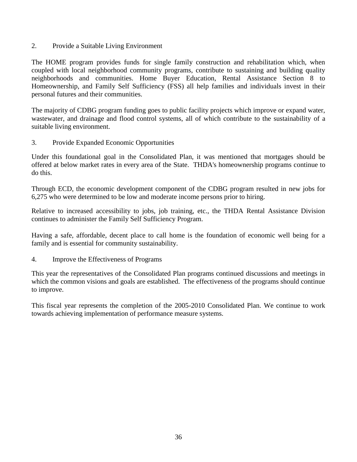2. Provide a Suitable Living Environment

The HOME program provides funds for single family construction and rehabilitation which, when coupled with local neighborhood community programs, contribute to sustaining and building quality neighborhoods and communities. Home Buyer Education, Rental Assistance Section 8 to Homeownership, and Family Self Sufficiency (FSS) all help families and individuals invest in their personal futures and their communities.

The majority of CDBG program funding goes to public facility projects which improve or expand water, wastewater, and drainage and flood control systems, all of which contribute to the sustainability of a suitable living environment.

3. Provide Expanded Economic Opportunities

Under this foundational goal in the Consolidated Plan, it was mentioned that mortgages should be offered at below market rates in every area of the State. THDA's homeownership programs continue to do this.

Through ECD, the economic development component of the CDBG program resulted in new jobs for 6,275 who were determined to be low and moderate income persons prior to hiring.

Relative to increased accessibility to jobs, job training, etc., the THDA Rental Assistance Division continues to administer the Family Self Sufficiency Program.

Having a safe, affordable, decent place to call home is the foundation of economic well being for a family and is essential for community sustainability.

4. Improve the Effectiveness of Programs

This year the representatives of the Consolidated Plan programs continued discussions and meetings in which the common visions and goals are established. The effectiveness of the programs should continue to improve.

This fiscal year represents the completion of the 2005-2010 Consolidated Plan. We continue to work towards achieving implementation of performance measure systems.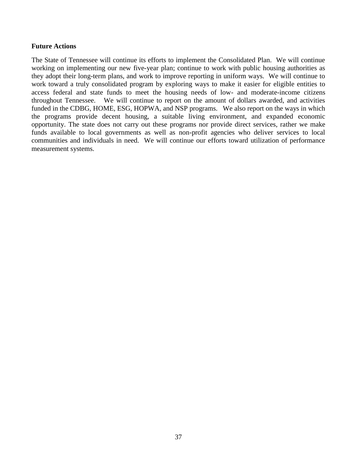#### **Future Actions**

The State of Tennessee will continue its efforts to implement the Consolidated Plan. We will continue working on implementing our new five-year plan; continue to work with public housing authorities as they adopt their long-term plans, and work to improve reporting in uniform ways. We will continue to work toward a truly consolidated program by exploring ways to make it easier for eligible entities to access federal and state funds to meet the housing needs of low- and moderate-income citizens throughout Tennessee. We will continue to report on the amount of dollars awarded, and activities funded in the CDBG, HOME, ESG, HOPWA, and NSP programs. We also report on the ways in which the programs provide decent housing, a suitable living environment, and expanded economic opportunity. The state does not carry out these programs nor provide direct services, rather we make funds available to local governments as well as non-profit agencies who deliver services to local communities and individuals in need. We will continue our efforts toward utilization of performance measurement systems.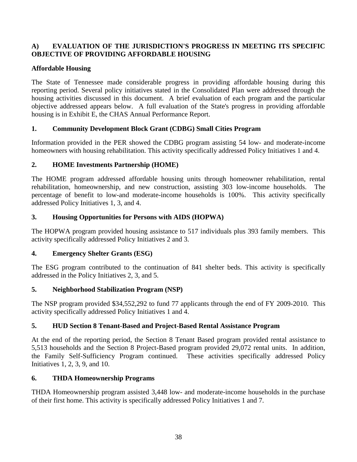### **A) EVALUATION OF THE JURISDICTION'S PROGRESS IN MEETING ITS SPECIFIC OBJECTIVE OF PROVIDING AFFORDABLE HOUSING**

### **Affordable Housing**

The State of Tennessee made considerable progress in providing affordable housing during this reporting period. Several policy initiatives stated in the Consolidated Plan were addressed through the housing activities discussed in this document. A brief evaluation of each program and the particular objective addressed appears below. A full evaluation of the State's progress in providing affordable housing is in Exhibit E, the CHAS Annual Performance Report.

### **1. Community Development Block Grant (CDBG) Small Cities Program**

Information provided in the PER showed the CDBG program assisting 54 low- and moderate-income homeowners with housing rehabilitation. This activity specifically addressed Policy Initiatives 1 and 4.

### **2. HOME Investments Partnership (HOME)**

The HOME program addressed affordable housing units through homeowner rehabilitation, rental rehabilitation, homeownership, and new construction, assisting 303 low-income households. The percentage of benefit to low-and moderate-income households is 100%. This activity specifically addressed Policy Initiatives 1, 3, and 4.

### **3. Housing Opportunities for Persons with AIDS (HOPWA)**

The HOPWA program provided housing assistance to 517 individuals plus 393 family members. This activity specifically addressed Policy Initiatives 2 and 3.

### **4. Emergency Shelter Grants (ESG)**

The ESG program contributed to the continuation of 841 shelter beds. This activity is specifically addressed in the Policy Initiatives 2, 3, and 5.

### **5. Neighborhood Stabilization Program (NSP)**

The NSP program provided \$34,552,292 to fund 77 applicants through the end of FY 2009-2010. This activity specifically addressed Policy Initiatives 1 and 4.

### **5. HUD Section 8 Tenant-Based and Project-Based Rental Assistance Program**

At the end of the reporting period, the Section 8 Tenant Based program provided rental assistance to 5,513 households and the Section 8 Project-Based program provided 29,072 rental units. In addition, the Family Self-Sufficiency Program continued. These activities specifically addressed Policy Initiatives 1, 2, 3, 9, and 10.

### **6. THDA Homeownership Programs**

THDA Homeownership program assisted 3,448 low- and moderate-income households in the purchase of their first home. This activity is specifically addressed Policy Initiatives 1 and 7.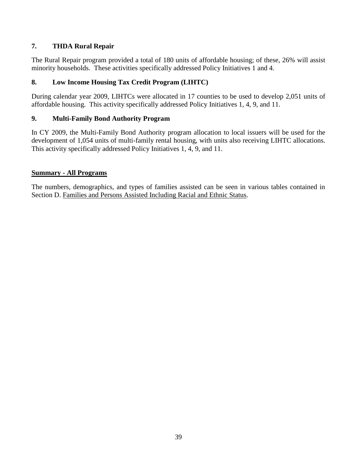### **7. THDA Rural Repair**

The Rural Repair program provided a total of 180 units of affordable housing; of these, 26% will assist minority households. These activities specifically addressed Policy Initiatives 1 and 4.

### **8. Low Income Housing Tax Credit Program (LIHTC)**

During calendar year 2009, LIHTCs were allocated in 17 counties to be used to develop 2,051 units of affordable housing. This activity specifically addressed Policy Initiatives 1, 4, 9, and 11.

### **9. Multi-Family Bond Authority Program**

In CY 2009, the Multi-Family Bond Authority program allocation to local issuers will be used for the development of 1,054 units of multi-family rental housing, with units also receiving LIHTC allocations. This activity specifically addressed Policy Initiatives 1, 4, 9, and 11.

### **Summary - All Programs**

The numbers, demographics, and types of families assisted can be seen in various tables contained in Section D. Families and Persons Assisted Including Racial and Ethnic Status.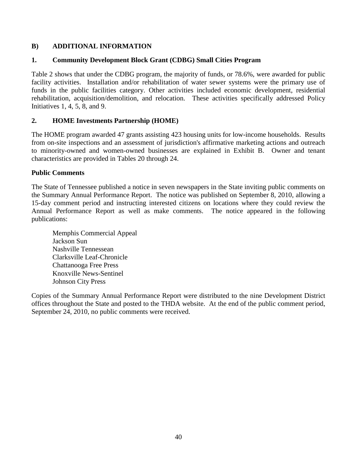### **B) ADDITIONAL INFORMATION**

### **1. Community Development Block Grant (CDBG) Small Cities Program**

Table 2 shows that under the CDBG program, the majority of funds, or 78.6%, were awarded for public facility activities. Installation and/or rehabilitation of water sewer systems were the primary use of funds in the public facilities category. Other activities included economic development, residential rehabilitation, acquisition/demolition, and relocation. These activities specifically addressed Policy Initiatives 1, 4, 5, 8, and 9.

### **2. HOME Investments Partnership (HOME)**

The HOME program awarded 47 grants assisting 423 housing units for low-income households. Results from on-site inspections and an assessment of jurisdiction's affirmative marketing actions and outreach to minority-owned and women-owned businesses are explained in Exhibit B. Owner and tenant characteristics are provided in Tables 20 through 24.

### **Public Comments**

The State of Tennessee published a notice in seven newspapers in the State inviting public comments on the Summary Annual Performance Report. The notice was published on September 8, 2010, allowing a 15-day comment period and instructing interested citizens on locations where they could review the Annual Performance Report as well as make comments. The notice appeared in the following publications:

Memphis Commercial Appeal Jackson Sun Nashville Tennessean Clarksville Leaf-Chronicle Chattanooga Free Press Knoxville News-Sentinel Johnson City Press

Copies of the Summary Annual Performance Report were distributed to the nine Development District offices throughout the State and posted to the THDA website. At the end of the public comment period, September 24, 2010, no public comments were received.